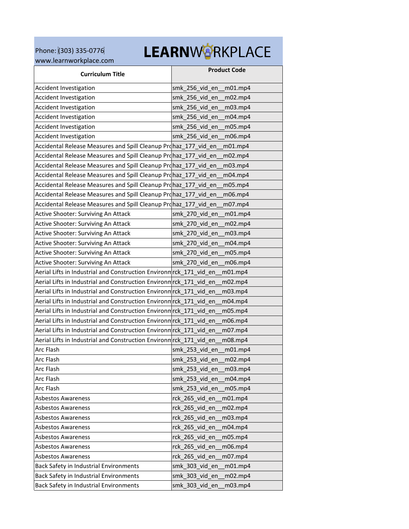Phone: (303) 335-0776 [www.learnworkplace.com](http://www.learnworkplace.com/) 

## LEARNWORKPLACE

| <b>Curriculum Title</b>                                             | <b>Product Code</b>          |
|---------------------------------------------------------------------|------------------------------|
| Accident Investigation                                              | smk_256_vid_en<br>$m01$ .mp4 |
| Accident Investigation                                              | smk_256_vid_en<br>m02.mp4    |
| <b>Accident Investigation</b>                                       | smk_256_vid_en<br>m03.mp4    |
| <b>Accident Investigation</b>                                       | smk 256 vid en<br>m04.mp4    |
| <b>Accident Investigation</b>                                       | smk_256_vid_en<br>m05.mp4    |
| Accident Investigation                                              | smk_256_vid_en<br>m06.mp4    |
| Accidental Release Measures and Spill Cleanup Prohaz_177_vid_en     | m01.mp4                      |
| Accidental Release Measures and Spill Cleanup Prohaz_177 vid en     | m02.mp4                      |
| Accidental Release Measures and Spill Cleanup Prohaz_177_vid_en     | m03.mp4                      |
| Accidental Release Measures and Spill Cleanup Prohaz_177_vid_en     | m04.mp4                      |
| Accidental Release Measures and Spill Cleanup Prohaz_177_vid_en     | m05.mp4                      |
| Accidental Release Measures and Spill Cleanup Prohaz_177_vid_en     | m06.mp4                      |
| Accidental Release Measures and Spill Cleanup Prohaz 177 vid en     | m07.mp4                      |
| Active Shooter: Surviving An Attack                                 | smk 270 vid en<br>m01.mp4    |
| Active Shooter: Surviving An Attack                                 | smk_270_vid_en<br>m02.mp4    |
| Active Shooter: Surviving An Attack                                 | smk_270_vid_en<br>m03.mp4    |
| Active Shooter: Surviving An Attack                                 | smk_270_vid_en<br>m04.mp4    |
| Active Shooter: Surviving An Attack                                 | smk_270_vid_en<br>m05.mp4    |
| Active Shooter: Surviving An Attack                                 | smk 270 vid en<br>m06.mp4    |
| Aerial Lifts in Industrial and Construction Environm rck_171_vid_en | m01.mp4                      |
| Aerial Lifts in Industrial and Construction Environm rck_171_vid_en | m02.mp4                      |
| Aerial Lifts in Industrial and Construction Environm rck_171_vid_en | m03.mp4                      |
| Aerial Lifts in Industrial and Construction Environm rck 171 vid en | m04.mp4                      |
| Aerial Lifts in Industrial and Construction Environn rck_171_vid_en | m05.mp4                      |
| Aerial Lifts in Industrial and Construction Environm rck 171 vid en | m06.mp4                      |
| Aerial Lifts in Industrial and Construction Environm rck_171_vid_en | m07.mp4                      |
| Aerial Lifts in Industrial and Construction Environm rck_171_vid_en | m08.mp4                      |
| Arc Flash                                                           | smk_253_vid_en<br>m01.mp4    |
| Arc Flash                                                           | smk 253 vid en<br>m02.mp4    |
| Arc Flash                                                           | smk_253_vid_en<br>m03.mp4    |
| Arc Flash                                                           | smk_253_vid_en<br>m04.mp4    |
| Arc Flash                                                           | smk_253_vid_en<br>m05.mp4    |
| <b>Asbestos Awareness</b>                                           | rck_265_vid_en<br>m01.mp4    |
| <b>Asbestos Awareness</b>                                           | rck_265_vid_en<br>m02.mp4    |
| <b>Asbestos Awareness</b>                                           | rck 265 vid en<br>m03.mp4    |
| <b>Asbestos Awareness</b>                                           | rck_265_vid_en<br>m04.mp4    |
| <b>Asbestos Awareness</b>                                           | rck_265_vid_en<br>m05.mp4    |
| <b>Asbestos Awareness</b>                                           | rck 265 vid en<br>m06.mp4    |
| <b>Asbestos Awareness</b>                                           | rck 265 vid en<br>m07.mp4    |
| Back Safety in Industrial Environments                              | smk_303_vid_en<br>m01.mp4    |
| Back Safety in Industrial Environments                              | smk_303_vid_en<br>m02.mp4    |
| Back Safety in Industrial Environments                              | smk 303 vid en<br>m03.mp4    |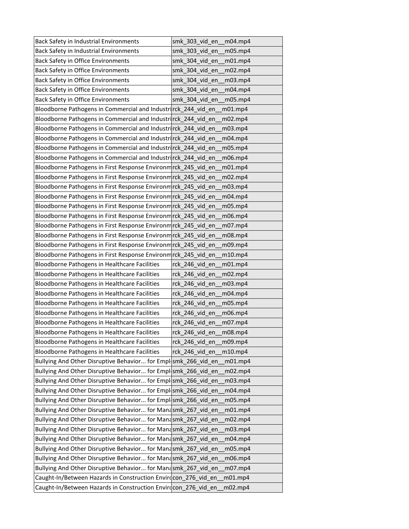| <b>Back Safety in Industrial Environments</b>                   | smk 303 vid en<br>m04.mp4 |
|-----------------------------------------------------------------|---------------------------|
| Back Safety in Industrial Environments                          | smk_303_vid_en<br>m05.mp4 |
| Back Safety in Office Environments                              | smk_304_vid_en<br>m01.mp4 |
| Back Safety in Office Environments                              | smk 304 vid en<br>m02.mp4 |
| Back Safety in Office Environments                              | smk_304_vid_en<br>m03.mp4 |
| Back Safety in Office Environments                              | smk 304 vid en<br>m04.mp4 |
| Back Safety in Office Environments                              | smk 304 vid en<br>m05.mp4 |
| Bloodborne Pathogens in Commercial and Industrinck_244_vid_en   | m01.mp4                   |
| Bloodborne Pathogens in Commercial and Industrirck 244 vid en   | m02.mp4                   |
| Bloodborne Pathogens in Commercial and Industrirck_244_vid_en   | m03.mp4                   |
| Bloodborne Pathogens in Commercial and Industrirck_244_vid_en   | m04.mp4                   |
| Bloodborne Pathogens in Commercial and Industrirck_244_vid_en   | m05.mp4                   |
| Bloodborne Pathogens in Commercial and Industrirck_244_vid_en   | m06.mp4                   |
| Bloodborne Pathogens in First Response Environm rck_245_vid_en  | m01.mp4                   |
| Bloodborne Pathogens in First Response Environm rck_245_vid_en  | m02.mp4                   |
| Bloodborne Pathogens in First Response Environm rck 245 vid en  | m03.mp4                   |
| Bloodborne Pathogens in First Response Environm rck_245_vid_en  | m04.mp4                   |
| Bloodborne Pathogens in First Response Environm rck_245_vid_en  | m05.mp4                   |
| Bloodborne Pathogens in First Response Environm rck_245_vid_en  | m06.mp4                   |
| Bloodborne Pathogens in First Response Environm rck_245_vid_en  | m07.mp4                   |
| Bloodborne Pathogens in First Response Environm rck_245_vid_en  | m08.mp4                   |
| Bloodborne Pathogens in First Response Environm rck_245_vid_en  | m09.mp4                   |
| Bloodborne Pathogens in First Response Environm rck_245_vid_en  | m10.mp4                   |
| Bloodborne Pathogens in Healthcare Facilities                   | rck 246 vid en<br>m01.mp4 |
| Bloodborne Pathogens in Healthcare Facilities                   | rck 246 vid en<br>m02.mp4 |
| Bloodborne Pathogens in Healthcare Facilities                   | rck_246_vid_en<br>m03.mp4 |
| Bloodborne Pathogens in Healthcare Facilities                   | rck_246_vid_en<br>m04.mp4 |
| Bloodborne Pathogens in Healthcare Facilities                   | rck 246 vid en<br>m05.mp4 |
| Bloodborne Pathogens in Healthcare Facilities                   | rck 246 vid en<br>m06.mp4 |
| Bloodborne Pathogens in Healthcare Facilities                   | rck_246_vid_en<br>m07.mp4 |
| Bloodborne Pathogens in Healthcare Facilities                   | rck 246_vid_en<br>m08.mp4 |
| Bloodborne Pathogens in Healthcare Facilities                   | rck 246 vid en<br>m09.mp4 |
| Bloodborne Pathogens in Healthcare Facilities                   | rck_246_vid_en<br>m10.mp4 |
| Bullying And Other Disruptive Behavior for Empl smk_266_vid_en  | m01.mp4                   |
| Bullying And Other Disruptive Behavior for Empl smk_266_vid_en  | m02.mp4                   |
| Bullying And Other Disruptive Behavior for Emplesmk_266 vid en  | m03.mp4                   |
| Bullying And Other Disruptive Behavior for Empl smk_266_vid_en  | m04.mp4                   |
| Bullying And Other Disruptive Behavior for Emplesmk_266_vid_en  | m05.mp4                   |
| Bullying And Other Disruptive Behavior for Manasmk_267_vid_en   | m01.mp4                   |
| Bullying And Other Disruptive Behavior for Manasmk 267 vid en   | m02.mp4                   |
| Bullying And Other Disruptive Behavior for Mandsmk_267_vid_en   | m03.mp4                   |
| Bullying And Other Disruptive Behavior for Manasmk_267_vid_en   | m04.mp4                   |
| Bullying And Other Disruptive Behavior for Manasmk_267_vid_en   | m05.mp4                   |
| Bullying And Other Disruptive Behavior for Manasmk_267_vid_en   | m06.mp4                   |
| Bullying And Other Disruptive Behavior for Manasmk_267_vid_en   | m07.mp4                   |
| Caught-In/Between Hazards in Construction Envirdcon_276_vid_en  | m01.mp4                   |
| Caught-In/Between Hazards in Construction Envird con_276_vid_en | m02.mp4                   |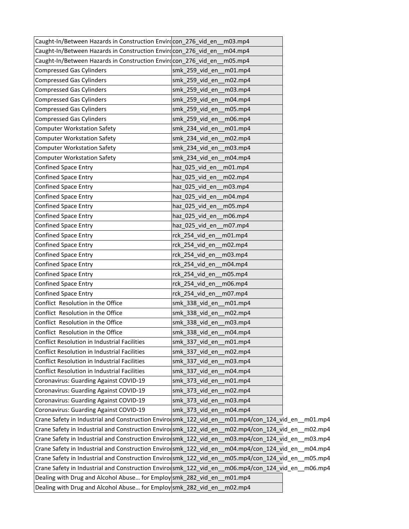| Caught-In/Between Hazards in Construction Envirocon 276 vid en    | m <sub>03.mp<sub>4</sub></sub>  |  |
|-------------------------------------------------------------------|---------------------------------|--|
| Caught-In/Between Hazards in Construction Envirecon 276 vid en    | m04.mp4                         |  |
| Caught-In/Between Hazards in Construction Envirecon 276 vid en    | m05.mp4                         |  |
| <b>Compressed Gas Cylinders</b>                                   | smk_259_vid_en_m01.mp4          |  |
| <b>Compressed Gas Cylinders</b>                                   | smk 259 vid en<br>m02.mp4       |  |
| <b>Compressed Gas Cylinders</b>                                   | smk 259 vid en<br>m03.mp4       |  |
| <b>Compressed Gas Cylinders</b>                                   | smk_259_vid_en<br>m04.mp4       |  |
| <b>Compressed Gas Cylinders</b>                                   | smk 259 vid en<br>m05.mp4       |  |
| <b>Compressed Gas Cylinders</b>                                   | smk_259_vid_en_<br>m06.mp4      |  |
| <b>Computer Workstation Safety</b>                                | smk_234_vid_en_<br>m01.mp4      |  |
| <b>Computer Workstation Safety</b>                                | smk_234_vid_en_m02.mp4          |  |
| <b>Computer Workstation Safety</b>                                | smk_234_vid_en_<br>m03.mp4      |  |
| <b>Computer Workstation Safety</b>                                | smk 234 vid en<br>m04.mp4       |  |
| <b>Confined Space Entry</b>                                       | haz_025_vid_en_<br>m01.mp4      |  |
| <b>Confined Space Entry</b>                                       | haz_025_vid_en_<br>m02.mp4      |  |
| <b>Confined Space Entry</b>                                       | haz 025 vid en m03.mp4          |  |
| Confined Space Entry                                              | haz_025_vid_en_<br>m04.mp4      |  |
| <b>Confined Space Entry</b>                                       | haz_025_vid_en<br>m05.mp4       |  |
| <b>Confined Space Entry</b>                                       | haz 025 vid en<br>m06.mp4       |  |
| <b>Confined Space Entry</b>                                       | haz 025 vid en<br>m07.mp4       |  |
| <b>Confined Space Entry</b>                                       | rck 254 vid en<br>$m01$ .mp4    |  |
| <b>Confined Space Entry</b>                                       | rck_254_vid_en_<br>m02.mp4      |  |
| <b>Confined Space Entry</b>                                       | rck_254_vid_en_m03.mp4          |  |
| <b>Confined Space Entry</b>                                       | rck 254 vid en<br>m04.mp4       |  |
| <b>Confined Space Entry</b>                                       | rck_254_vid_en_<br>m05.mp4      |  |
| <b>Confined Space Entry</b>                                       | rck_254_vid_en_<br>m06.mp4      |  |
| <b>Confined Space Entry</b>                                       | rck_254_vid_en_<br>m07.mp4      |  |
| Conflict Resolution in the Office                                 | smk 338 vid en m01.mp4          |  |
| Conflict Resolution in the Office                                 | smk 338 vid en<br>m02mp4        |  |
| Conflict Resolution in the Office                                 | smk_338_vid_en_m03.mp4          |  |
| Conflict Resolution in the Office                                 | smk 338 vid en<br>m04.mp4       |  |
| <b>Conflict Resolution in Industrial Facilities</b>               | smk_337_vid_en<br>m01.mp4       |  |
| <b>Conflict Resolution in Industrial Facilities</b>               | smk 337 vid en<br>m02.mp4       |  |
| Conflict Resolution in Industrial Facilities                      | smk 337 vid en<br>m03.mp4       |  |
| Conflict Resolution in Industrial Facilities                      | m04.mp4<br>smk 337 vid en       |  |
| Coronavirus: Guarding Against COVID-19                            | smk_373_vid_en<br>m01.mp4       |  |
| Coronavirus: Guarding Against COVID-19                            | smk 373 vid en<br>m02.mp4       |  |
| Coronavirus: Guarding Against COVID-19                            | smk_373_vid_en<br>m03.mp4       |  |
| Coronavirus: Guarding Against COVID-19                            | smk_373_vid_en<br>m04.mp4       |  |
| Crane Safety in Industrial and Construction Envirolsmk 122 vid en | m01.mp4/con_124_vid_en__m01.mp4 |  |
| Crane Safety in Industrial and Construction Envirolsmk_122_vid_en | m02.mp4/con_124_vid_en__m02.mp4 |  |
| Crane Safety in Industrial and Construction Envirolsmk_122_vid_en | m03.mp4/con_124_vid_en__m03.mp4 |  |
| Crane Safety in Industrial and Construction Enviro smk_122_vid_en | m04.mp4/con_124_vid_en__m04.mp4 |  |
| Crane Safety in Industrial and Construction Enviro smk_122_vid_en | m05.mp4/con_124_vid_en__m05.mp4 |  |
| Crane Safety in Industrial and Construction Envirolsmk_122_vid_en | m06.mp4/con_124_vid_en__m06.mp4 |  |
| Dealing with Drug and Alcohol Abuse for Employ smk_282_vid_en     | m01.mp4                         |  |
| Dealing with Drug and Alcohol Abuse for Employ smk_282_vid_en     | m02.mp4                         |  |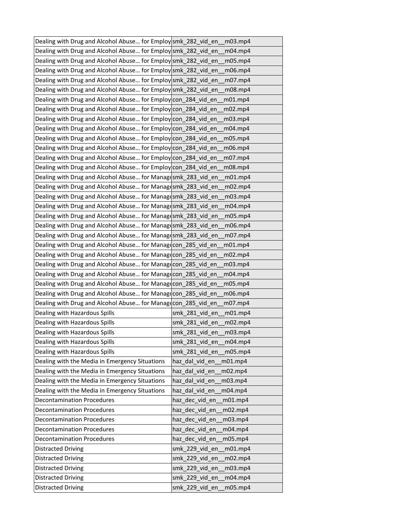| Dealing with Drug and Alcohol Abuse for Employ smk_282_vid_en_ | m <sub>03.mp<sub>4</sub></sub> |
|----------------------------------------------------------------|--------------------------------|
| Dealing with Drug and Alcohol Abuse for Employ smk_282_vid_en  | $m04$ .mp4                     |
| Dealing with Drug and Alcohol Abuse for Employ smk_282_vid_en  | m05.mp4                        |
| Dealing with Drug and Alcohol Abuse for Employ smk_282_vid_en  | m06.mp4                        |
| Dealing with Drug and Alcohol Abuse for Employ smk 282 vid en  | m07.mp4                        |
| Dealing with Drug and Alcohol Abuse for Employ smk 282 vid en  | m08.mp4                        |
| Dealing with Drug and Alcohol Abuse for Employ con_284_vid_en  | m01.mp4                        |
| Dealing with Drug and Alcohol Abuse for Employ con_284 vid en  | m02.mp4                        |
| Dealing with Drug and Alcohol Abuse for Employ con_284_vid_en  | m03.mp4                        |
| Dealing with Drug and Alcohol Abuse for Employ con_284_vid_en  | m04.mp4                        |
| Dealing with Drug and Alcohol Abuse for Employ con_284_vid_en  | m05.mp4                        |
| Dealing with Drug and Alcohol Abuse for Employ con_284_vid_en  | m06.mp4                        |
| Dealing with Drug and Alcohol Abuse for Employ con_284_vid_en  | m07.mp4                        |
| Dealing with Drug and Alcohol Abuse for Employ con_284_vid_en  | m08.mp4                        |
| Dealing with Drug and Alcohol Abuse for Managesmk_283_vid_en   | m01.mp4                        |
| Dealing with Drug and Alcohol Abuse for Managesmk_283_vid_en   | m02.mp4                        |
| Dealing with Drug and Alcohol Abuse for Managesmk 283 vid en   | m03.mp4                        |
| Dealing with Drug and Alcohol Abuse for Managesmk_283_vid_en   | m04.mp4                        |
| Dealing with Drug and Alcohol Abuse for Managesmk_283_vid_en   | m05.mp4                        |
| Dealing with Drug and Alcohol Abuse for Managesmk_283_vid_en   | m06.mp4                        |
| Dealing with Drug and Alcohol Abuse for Managesmk_283_vid_en   | m07.mp4                        |
| Dealing with Drug and Alcohol Abuse for Managecon_285_vid_en   | m01.mp4                        |
| Dealing with Drug and Alcohol Abuse for Managecon_285_vid_en   | m02.mp4                        |
| Dealing with Drug and Alcohol Abuse for Managecon_285_vid_en   | m03.mp4                        |
| Dealing with Drug and Alcohol Abuse for Manag con_285_vid_en   | m04.mp4                        |
| Dealing with Drug and Alcohol Abuse for Managecon_285_vid_en   | m05.mp4                        |
| Dealing with Drug and Alcohol Abuse for Managecon_285_vid_en   | m06.mp4                        |
| Dealing with Drug and Alcohol Abuse for Managecon_285_vid_en   | m07.mp4                        |
| Dealing with Hazardous Spills                                  | smk_281_vid_en<br>m01.mp4      |
| Dealing with Hazardous Spills                                  | smk 281 vid en<br>m02.mp4      |
| Dealing with Hazardous Spills                                  | smk 281 vid en<br>m03.mp4      |
| Dealing with Hazardous Spills                                  | smk 281 vid en<br>m04.mp4      |
| Dealing with Hazardous Spills                                  | smk_281_vid_en<br>m05.mp4      |
| Dealing with the Media in Emergency Situations                 | haz_dal_vid_en<br>m01.mp4      |
| Dealing with the Media in Emergency Situations                 | haz_dal_vid_en<br>m02.mp4      |
| Dealing with the Media in Emergency Situations                 | haz dal vid en<br>m03.mp4      |
| Dealing with the Media in Emergency Situations                 | haz_dal_vid_en<br>m04.mp4      |
| <b>Decontamination Procedures</b>                              | haz dec vid en<br>m01.mp4      |
| <b>Decontamination Procedures</b>                              | haz_dec_vid_en<br>m02.mp4      |
| <b>Decontamination Procedures</b>                              | haz_dec_vid_en<br>m03.mp4      |
| <b>Decontamination Procedures</b>                              | haz_dec_vid_en<br>m04.mp4      |
| <b>Decontamination Procedures</b>                              | haz dec vid en<br>m05.mp4      |
| <b>Distracted Driving</b>                                      | smk_229_vid_en<br>m01.mp4      |
| <b>Distracted Driving</b>                                      | smk 229 vid en<br>m02.mp4      |
| <b>Distracted Driving</b>                                      | smk_229_vid_en<br>m03.mp4      |
| <b>Distracted Driving</b>                                      | smk_229_vid_en<br>m04.mp4      |
| <b>Distracted Driving</b>                                      | smk_229_vid_en<br>m05.mp4      |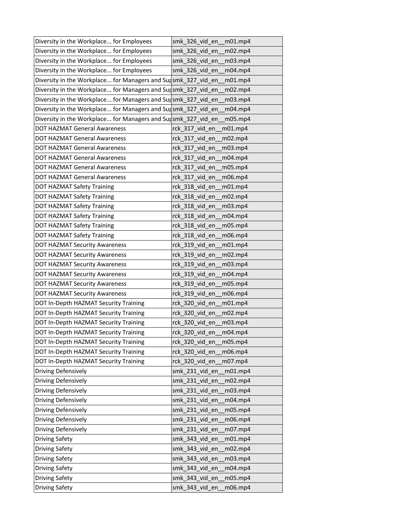| Diversity in the Workplace for Employees                      | smk 326 vid en m01.mp4                           |
|---------------------------------------------------------------|--------------------------------------------------|
| Diversity in the Workplace for Employees                      | smk_326_vid_en<br>m02.mp4                        |
| Diversity in the Workplace for Employees                      | smk_326_vid_en<br>m03.mp4                        |
| Diversity in the Workplace for Employees                      | smk 326 vid en<br>m04.mp4                        |
| Diversity in the Workplace for Managers and Sursmk_327_vid_en | m01.mp4                                          |
| Diversity in the Workplace for Managers and Sursmk_327_vid_en | m02.mp4                                          |
| Diversity in the Workplace for Managers and Sursmk_327_vid_en | m03.mp4                                          |
| Diversity in the Workplace for Managers and Sursmk_327_vid_en | m04.mp4                                          |
| Diversity in the Workplace for Managers and Sursmk_327_vid_en | m05.mp4                                          |
| DOT HAZMAT General Awareness                                  | rck_317_vid_en<br>m01.mp4                        |
| DOT HAZMAT General Awareness                                  | rck 317 vid en<br>m02.mp4                        |
| DOT HAZMAT General Awareness                                  | rck_317_vid_en_<br>m03.mp4                       |
| <b>DOT HAZMAT General Awareness</b>                           | rck 317 vid en<br>m04.mp4                        |
| <b>DOT HAZMAT General Awareness</b>                           | rck_317_vid_en_<br>m05.mp4                       |
| DOT HAZMAT General Awareness                                  | rck 317 vid en<br>m06.mp4                        |
| DOT HAZMAT Safety Training                                    | rck_318_vid_en<br>$m01$ .mp4                     |
| <b>DOT HAZMAT Safety Training</b>                             | rck 318 vid en<br>m02.mp4                        |
| DOT HAZMAT Safety Training                                    | rck_318_vid_en<br>m03.mp4                        |
| DOT HAZMAT Safety Training                                    | rck_318_vid_en_<br>m04.mp4                       |
| DOT HAZMAT Safety Training                                    | rck 318 vid en<br>m05.mp4                        |
| <b>DOT HAZMAT Safety Training</b>                             | rck 318 vid en<br>m06.mp4                        |
| DOT HAZMAT Security Awareness                                 | rck_319_vid_en<br>m01.mp4                        |
| DOT HAZMAT Security Awareness                                 | rck_319_vid_en<br>m02.mp4                        |
| DOT HAZMAT Security Awareness                                 | rck 319 vid en<br>m <sub>03.mp<sub>4</sub></sub> |
| DOT HAZMAT Security Awareness                                 | rck 319 vid en<br>m04.mp4                        |
| DOT HAZMAT Security Awareness                                 | rck_319_vid_en_<br>m05.mp4                       |
| DOT HAZMAT Security Awareness                                 | rck_319_vid_en<br>m06.mp4                        |
| DOT In-Depth HAZMAT Security Training                         | rck_320_vid_en<br>m01.mp4                        |
| DOT In-Depth HAZMAT Security Training                         | rck 320 vid en<br>m02.mp4                        |
| DOT In-Depth HAZMAT Security Training                         | rck_320_vid_en<br>m03.mp4                        |
| DOT In-Depth HAZMAT Security Training                         | rck 320 vid en<br>m04.mp4                        |
| DOT In-Depth HAZMAT Security Training                         | rck_320_vid_en<br>m05.mp4                        |
| DOT In-Depth HAZMAT Security Training                         | rck_320_vid_en<br>m06.mp4                        |
| DOT In-Depth HAZMAT Security Training                         | rck_320_vid_en<br>m07.mp4                        |
| Driving Defensively                                           | smk_231_vid_en<br>m01.mp4                        |
| Driving Defensively                                           | smk 231 vid en<br>m02.mp4                        |
| Driving Defensively                                           | smk_231_vid_en<br>m03.mp4                        |
| Driving Defensively                                           | smk_231_vid_en<br>m04.mp4                        |
| Driving Defensively                                           | smk_231_vid_en<br>m05.mp4                        |
| Driving Defensively                                           | smk 231 vid en<br>m06.mp4                        |
| Driving Defensively                                           | smk_231_vid_en<br>m07.mp4                        |
| <b>Driving Safety</b>                                         | smk 343 vid en<br>m01.mp4                        |
| Driving Safety                                                | smk_343_vid_en<br>m02.mp4                        |
| <b>Driving Safety</b>                                         | m03.mp4<br>smk 343 vid en                        |
| <b>Driving Safety</b>                                         | smk_343_vid_en<br>m04.mp4                        |
| Driving Safety                                                | smk_343_vid_en<br>m05.mp4                        |
| <b>Driving Safety</b>                                         | m06.mp4<br>smk_343_vid_en                        |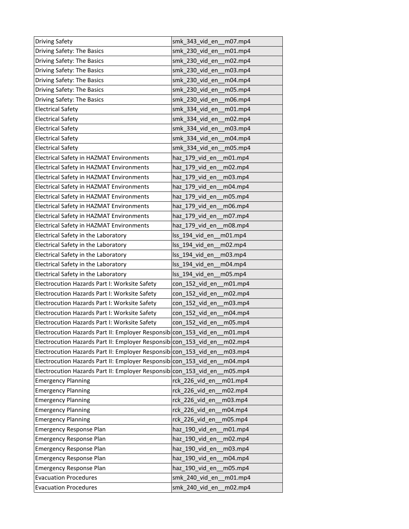| Driving Safety                                                   | smk 343 vid en<br>m07.mp4     |
|------------------------------------------------------------------|-------------------------------|
| Driving Safety: The Basics                                       | smk 230 vid en<br>m01.mp4     |
| Driving Safety: The Basics                                       | smk_230_vid_en<br>m02.mp4     |
| Driving Safety: The Basics                                       | smk 230 vid en<br>m03.mp4     |
| Driving Safety: The Basics                                       | smk 230 vid en<br>m04.mp4     |
| Driving Safety: The Basics                                       | smk 230 vid en<br>m05.mp4     |
| Driving Safety: The Basics                                       | smk_230_vid_en<br>m06.mp4     |
| <b>Electrical Safety</b>                                         | smk_334_vid_en<br>m01.mp4     |
| <b>Electrical Safety</b>                                         | smk 334 vid en<br>m02.mp4     |
| <b>Electrical Safety</b>                                         | smk_334_vid_en<br>m03.mp4     |
| <b>Electrical Safety</b>                                         | smk 334 vid en<br>m04.mp4     |
| <b>Electrical Safety</b>                                         | smk_334_vid_en<br>m05.mp4     |
| Electrical Safety in HAZMAT Environments                         | haz 179 vid en<br>m01.mp4     |
| Electrical Safety in HAZMAT Environments                         | haz 179 vid en<br>m02.mp4     |
| <b>Electrical Safety in HAZMAT Environments</b>                  | haz_179_vid_en<br>m03.mp4     |
| <b>Electrical Safety in HAZMAT Environments</b>                  | haz_179_vid_en<br>m04.mp4     |
| Electrical Safety in HAZMAT Environments                         | haz_179_vid_en<br>m05.mp4     |
| Electrical Safety in HAZMAT Environments                         | haz 179 vid en<br>m06.mp4     |
| Electrical Safety in HAZMAT Environments                         | haz_179_vid_en<br>m07.mp4     |
| Electrical Safety in HAZMAT Environments                         | haz 179 vid en<br>m08.mp4     |
| Electrical Safety in the Laboratory                              | lss 194 vid en<br>$m01$ .mp4  |
| Electrical Safety in the Laboratory                              | lss_194_vid_en<br>m02.mp4     |
| Electrical Safety in the Laboratory                              | Iss 194 vid en<br>m03.mp4     |
| Electrical Safety in the Laboratory                              | Iss 194 vid en<br>m04.mp4     |
| Electrical Safety in the Laboratory                              | Iss 194 vid en<br>m05.mp4     |
| Electrocution Hazards Part I: Worksite Safety                    | con_152_vid_en<br>m01.mp4     |
| Electrocution Hazards Part I: Worksite Safety                    | $con_152\_vid\_en$<br>m02.mp4 |
| Electrocution Hazards Part I: Worksite Safety                    | con_152_vid_en<br>m03.mp4     |
| Electrocution Hazards Part I: Worksite Safety                    | con 152 vid en<br>m04.mp4     |
| Electrocution Hazards Part I: Worksite Safety                    | con_152_vid_en<br>m05.mp4     |
| Electrocution Hazards Part II: Employer Responsibicon_153_vid_en | m01.mp4                       |
| Electrocution Hazards Part II: Employer Responsibicon_153_vid_en | m02.mp4                       |
| Electrocution Hazards Part II: Employer Responsibicon 153 vid en | m03.mp4                       |
| Electrocution Hazards Part II: Employer Responsibicon 153 vid en | m04.mp4                       |
| Electrocution Hazards Part II: Employer Responsibicon_153_vid_en | m05.mp4                       |
| <b>Emergency Planning</b>                                        | rck_226_vid_en<br>m01mp4      |
| <b>Emergency Planning</b>                                        | rck 226 vid en<br>m02.mp4     |
| <b>Emergency Planning</b>                                        | rck_226_vid_en<br>m03.mp4     |
| <b>Emergency Planning</b>                                        | rck 226 vid en<br>m04.mp4     |
| <b>Emergency Planning</b>                                        | rck 226 vid en<br>m05.mp4     |
| <b>Emergency Response Plan</b>                                   | haz_190_vid_en<br>m01.mp4     |
| <b>Emergency Response Plan</b>                                   | haz_190_vid_en<br>m02.mp4     |
| <b>Emergency Response Plan</b>                                   | haz_190_vid_en<br>m03.mp4     |
| <b>Emergency Response Plan</b>                                   | haz 190 vid en<br>m04.mp4     |
| <b>Emergency Response Plan</b>                                   | haz_190_vid_en<br>m05.mp4     |
| <b>Evacuation Procedures</b>                                     | smk_240_vid_en<br>m01.mp4     |
| <b>Evacuation Procedures</b>                                     | smk_240_vid_en<br>m02.mp4     |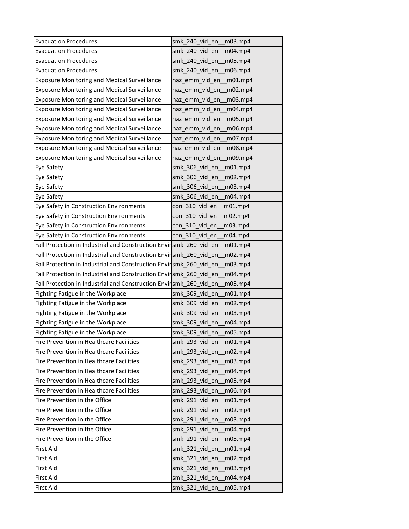| <b>Evacuation Procedures</b>                                       | smk 240 vid en<br>m <sub>03.mp<sub>4</sub></sub> |
|--------------------------------------------------------------------|--------------------------------------------------|
| <b>Evacuation Procedures</b>                                       | smk 240 vid en<br>m04.mp4                        |
| <b>Evacuation Procedures</b>                                       | smk_240_vid_en<br>m05.mp4                        |
| <b>Evacuation Procedures</b>                                       | smk 240 vid en<br>m06.mp4                        |
| <b>Exposure Monitoring and Medical Surveillance</b>                | haz_emm_vid_en<br>m01.mp4                        |
| <b>Exposure Monitoring and Medical Surveillance</b>                | haz emm vid en<br>m02.mp4                        |
| <b>Exposure Monitoring and Medical Surveillance</b>                | haz_emm_vid_en<br>m03.mp4                        |
| <b>Exposure Monitoring and Medical Surveillance</b>                | haz_emm_vid_en<br>m04.mp4                        |
| <b>Exposure Monitoring and Medical Surveillance</b>                | haz_emm_vid_en<br>m05.mp4                        |
| <b>Exposure Monitoring and Medical Surveillance</b>                | haz_emm_vid_en<br>m06.mp4                        |
| <b>Exposure Monitoring and Medical Surveillance</b>                | haz emm vid en<br>m07.mp4                        |
| <b>Exposure Monitoring and Medical Surveillance</b>                | haz_emm_vid_en<br>m08.mp4                        |
| <b>Exposure Monitoring and Medical Surveillance</b>                | haz_emm_vid_en<br>m09.mp4                        |
| Eye Safety                                                         | smk 306 vid en<br>m01.mp4                        |
| Eye Safety                                                         | smk_306_vid_en<br>m02.mp4                        |
| Eye Safety                                                         | smk 306 vid en<br>m03.mp4                        |
| Eye Safety                                                         | smk_306_vid_en<br>m04.mp4                        |
| Eye Safety in Construction Environments                            | con 310 vid en<br>m01.mp4                        |
| Eye Safety in Construction Environments                            | con 310 vid en<br>m02.mp4                        |
| Eye Safety in Construction Environments                            | con 310 vid en<br>m <sub>03.mp<sub>4</sub></sub> |
| Eye Safety in Construction Environments                            | con 310 vid en<br>m04.mp4                        |
| Fall Protection in Industrial and Construction Envirsmk_260_vid_en | m01.mp4                                          |
| Fall Protection in Industrial and Construction Envirsmk_260_vid_en | m02.mp4                                          |
| Fall Protection in Industrial and Construction Envirsmk 260 vid en | m03.mp4                                          |
| Fall Protection in Industrial and Construction Envirsmk 260 vid en | m04.mp4                                          |
| Fall Protection in Industrial and Construction Envirsmk_260_vid_en | m05.mp4                                          |
| Fighting Fatigue in the Workplace                                  | smk_309_vid_en<br>m01.mp4                        |
| Fighting Fatigue in the Workplace                                  | smk_309_vid_en<br>m02.mp4                        |
| Fighting Fatigue in the Workplace                                  | smk 309 vid en<br>m03.mp4                        |
| Fighting Fatigue in the Workplace                                  | smk 309 vid en<br>m04.mp4                        |
| Fighting Fatigue in the Workplace                                  | smk 309 vid en<br>m05.mp4                        |
| Fire Prevention in Healthcare Facilities                           | smk 293 vid en<br>m01.mp4                        |
| Fire Prevention in Healthcare Facilities                           | smk_293_vid_en<br>m02.mp4                        |
| Fire Prevention in Healthcare Facilities                           | smk 293 vid en<br>m03.mp4                        |
| Fire Prevention in Healthcare Facilities                           | smk_293_vid_en<br>m04.mp4                        |
| Fire Prevention in Healthcare Facilities                           | smk 293 vid en<br>m05.mp4                        |
| Fire Prevention in Healthcare Facilities                           | smk 293 vid en<br>m06.mp4                        |
| Fire Prevention in the Office                                      | smk_291_vid_en<br>m01.mp4                        |
| Fire Prevention in the Office                                      | smk_291_vid_en<br>m02.mp4                        |
| Fire Prevention in the Office                                      | smk_291_vid_en<br>m03.mp4                        |
| Fire Prevention in the Office                                      | smk_291_vid_en<br>m04.mp4                        |
| Fire Prevention in the Office                                      | smk 291 vid en<br>m05.mp4                        |
| First Aid                                                          | smk_321_vid_en<br>m01.mp4                        |
| First Aid                                                          | smk 321 vid en<br>m02.mp4                        |
| First Aid                                                          | smk_321_vid_en<br>m03.mp4                        |
| <b>First Aid</b>                                                   | smk_321_vid_en<br>m04.mp4                        |
| First Aid                                                          | m05.mp4<br>smk_321_vid_en                        |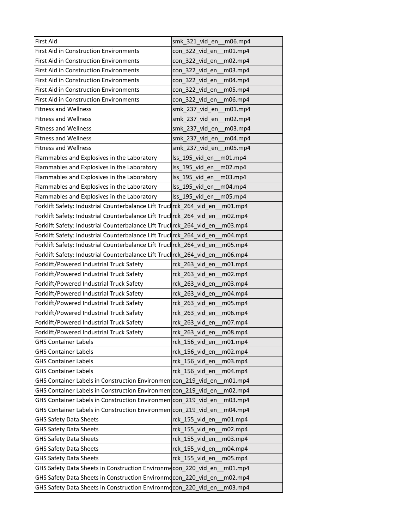| <b>First Aid</b>                                                    | smk_321_vid_en<br>m06.mp4  |
|---------------------------------------------------------------------|----------------------------|
| <b>First Aid in Construction Environments</b>                       | con_322_vid_en<br>m01.mp4  |
| First Aid in Construction Environments                              | con_322_vid_en<br>m02.mp4  |
| <b>First Aid in Construction Environments</b>                       | con_322_vid_en<br>m03.mp4  |
| <b>First Aid in Construction Environments</b>                       | con 322 vid en<br>m04.mp4  |
| <b>First Aid in Construction Environments</b>                       | con 322 vid en<br>m05.mp4  |
| <b>First Aid in Construction Environments</b>                       | con_322_vid_en<br>m06.mp4  |
| <b>Fitness and Wellness</b>                                         | smk 237 vid en<br>m01.mp4  |
| <b>Fitness and Wellness</b>                                         | smk 237 vid en<br>m02.mp4  |
| <b>Fitness and Wellness</b>                                         | smk_237_vid_en<br>m03.mp4  |
| <b>Fitness and Wellness</b>                                         | smk_237_vid_en<br>m04.mp4  |
| <b>Fitness and Wellness</b>                                         | smk_237_vid_en<br>m05.mp4  |
| Flammables and Explosives in the Laboratory                         | Iss 195 vid en<br>m01.mp4  |
| Flammables and Explosives in the Laboratory                         | lss_195_vid_en<br>m02.mp4  |
| Flammables and Explosives in the Laboratory                         | Iss 195 vid en<br>m03.mp4  |
| Flammables and Explosives in the Laboratory                         | lss_195_vid_en<br>m04.mp4  |
| Flammables and Explosives in the Laboratory                         | Iss 195 vid en<br>m05.mp4  |
| Forklift Safety: Industrial Counterbalance Lift Truclrck 264 vid en | m01.mp4                    |
| Forklift Safety: Industrial Counterbalance Lift Truclrck_264_vid_en | m02.mp4                    |
| Forklift Safety: Industrial Counterbalance Lift Truclrck_264_vid_en | m03.mp4                    |
| Forklift Safety: Industrial Counterbalance Lift Truclrck_264 vid en | m04.mp4                    |
| Forklift Safety: Industrial Counterbalance Lift Truclrck_264_vid_en | m05.mp4                    |
| Forklift Safety: Industrial Counterbalance Lift Truclrck_264_vid_en | m06.mp4                    |
| Forklift/Powered Industrial Truck Safety                            | rck 263 vid en<br>m01.mp4  |
| Forklift/Powered Industrial Truck Safety                            | rck 263 vid en<br>m02.mp4  |
| Forklift/Powered Industrial Truck Safety                            | rck_263_vid_en<br>m03.mp4  |
| Forklift/Powered Industrial Truck Safety                            | rck_263_vid_en<br>m04.mp4  |
| Forklift/Powered Industrial Truck Safety                            | rck_263_vid_en<br>m05.mp4  |
| Forklift/Powered Industrial Truck Safety                            | rck 263 vid en<br>m06.mp4  |
| Forklift/Powered Industrial Truck Safety                            | rck_263_vid_en_<br>m07.mp4 |
| Forklift/Powered Industrial Truck Safety                            | rck_263_vid_en<br>m08.mp4  |
| <b>GHS Container Labels</b>                                         | rck_156_vid_en<br>m01.mp4  |
| <b>GHS Container Labels</b>                                         | rck 156 vid en<br>m02.mp4  |
| <b>GHS Container Labels</b>                                         | rck_156_vid_en<br>m03.mp4  |
| <b>GHS Container Labels</b>                                         | rck 156 vid en<br>m04.mp4  |
| GHS Container Labels in Construction Environmen con 219 vid en      | m01.mp4                    |
| GHS Container Labels in Construction Environmen con 219 vid en      | m02.mp4                    |
| GHS Container Labels in Construction Environmen con 219 vid en      | m03.mp4                    |
| GHS Container Labels in Construction Environmen con 219 vid en      | m04.mp4                    |
| <b>GHS Safety Data Sheets</b>                                       | rck 155 vid en<br>m01.mp4  |
| <b>GHS Safety Data Sheets</b>                                       | rck_155_vid_en<br>m02.mp4  |
| <b>GHS Safety Data Sheets</b>                                       | rck_155_vid_en<br>m03.mp4  |
| <b>GHS Safety Data Sheets</b>                                       | rck_155_vid_en<br>m04.mp4  |
|                                                                     |                            |
| <b>GHS Safety Data Sheets</b>                                       | rck_155_vid_en<br>m05.mp4  |
| GHS Safety Data Sheets in Construction Environme con_220 vid en     | m01.mp4                    |
| GHS Safety Data Sheets in Construction Environmecon_220_vid_en      | m02.mp4                    |
| GHS Safety Data Sheets in Construction Environmecon_220 vid en      | m03.mp4                    |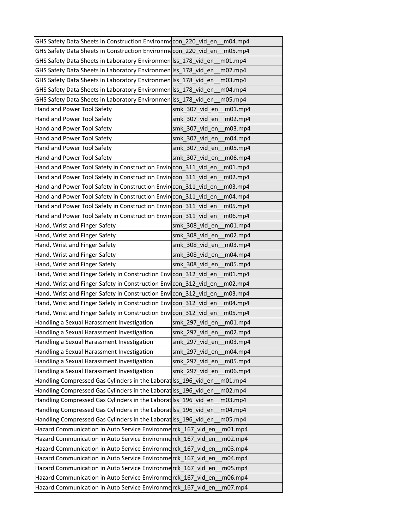| GHS Safety Data Sheets in Construction Environmecon_220_vid_en   | m04.mp4                        |
|------------------------------------------------------------------|--------------------------------|
| GHS Safety Data Sheets in Construction Environmecon 220 vid en   | m05.mp4                        |
| GHS Safety Data Sheets in Laboratory Environmen Iss_178_vid_en   | $m01$ .mp4                     |
| GHS Safety Data Sheets in Laboratory Environmen Iss_178_vid_en   | m02.mp4                        |
| GHS Safety Data Sheets in Laboratory Environmen Iss 178 vid en   | m03.mp4                        |
| GHS Safety Data Sheets in Laboratory Environmen Iss 178 vid en   | $m04$ .mp4                     |
| GHS Safety Data Sheets in Laboratory Environmen Iss_178_vid_en   | m05.mp4                        |
| Hand and Power Tool Safety                                       | smk 307 vid en<br>m01.mp4      |
| Hand and Power Tool Safety                                       | smk 307 vid en<br>m02.mp4      |
| Hand and Power Tool Safety                                       | smk_307_vid_en<br>m03.mp4      |
| Hand and Power Tool Safety                                       | smk 307 vid en<br>m04.mp4      |
| Hand and Power Tool Safety                                       | smk 307 vid en<br>m05.mp4      |
| Hand and Power Tool Safety                                       | smk 307 vid en<br>m06.mp4      |
| Hand and Power Tool Safety in Construction Envirecon 311 vid en  | m01.mp4                        |
| Hand and Power Tool Safety in Construction Envir(con_311_vid_en  | m02.mp4                        |
| Hand and Power Tool Safety in Construction Envir(con 311 vid en  | m <sub>03.mp<sub>4</sub></sub> |
| Hand and Power Tool Safety in Construction Envir con 311 vid en  | m04.mp4                        |
| Hand and Power Tool Safety in Construction Envir con_311_vid_en  | m05.mp4                        |
| Hand and Power Tool Safety in Construction Envir con_311_vid_en  | m06.mp4                        |
| Hand, Wrist and Finger Safety                                    | smk 308 vid en<br>$m01$ .mp4   |
| Hand, Wrist and Finger Safety                                    | smk 308 vid en<br>m02.mp4      |
| Hand, Wrist and Finger Safety                                    | smk_308_vid_en<br>m03.mp4      |
| Hand, Wrist and Finger Safety                                    | smk 308 vid en<br>m04.mp4      |
| Hand, Wrist and Finger Safety                                    | smk 308 vid en<br>m05.mp4      |
| Hand, Wrist and Finger Safety in Construction Envicon 312 vid en | $m01$ .mp4                     |
| Hand, Wrist and Finger Safety in Construction Envicon_312_vid_en | m02.mp4                        |
| Hand, Wrist and Finger Safety in Construction Envicon_312_vid_en | m03.mp4                        |
| Hand, Wrist and Finger Safety in Construction Envicon_312_vid_en | m04.mp4                        |
| Hand, Wrist and Finger Safety in Construction Envicon_312_vid_en | m05.mp4                        |
| Handling a Sexual Harassment Investigation                       | smk 297 vid en<br>m01.mp4      |
| Handling a Sexual Harassment Investigation                       | smk 297 vid en<br>m02.mp4      |
| Handling a Sexual Harassment Investigation                       | smk 297 vid en<br>m03.mp4      |
| Handling a Sexual Harassment Investigation                       | smk_297_vid_en<br>m04.mp4      |
| Handling a Sexual Harassment Investigation                       | smk_297_vid_en<br>m05.mp4      |
| Handling a Sexual Harassment Investigation                       | smk_297_vid_en<br>m06.mp4      |
| Handling Compressed Gas Cylinders in the Laborat Iss_196_vid_en  | m01.mp4                        |
| Handling Compressed Gas Cylinders in the Laborat Iss_196_vid_en  | m02.mp4                        |
| Handling Compressed Gas Cylinders in the Laborat Iss_196_vid_en  | m03.mp4                        |
| Handling Compressed Gas Cylinders in the Laborat Iss_196_vid_en  | m04.mp4                        |
| Handling Compressed Gas Cylinders in the Laborat Iss_196_vid_en  | m05.mp4                        |
| Hazard Communication in Auto Service Environmerck_167_vid_en     | m01.mp4                        |
| Hazard Communication in Auto Service Environmerck_167_vid_en     | m02.mp4                        |
|                                                                  |                                |
| Hazard Communication in Auto Service Environmerck_167_vid_en     | m03.mp4                        |
| Hazard Communication in Auto Service Environmerck 167 vid en     | m04.mp4                        |
| Hazard Communication in Auto Service Environmerck_167_vid_en     | m05.mp4                        |
| Hazard Communication in Auto Service Environmerck_167_vid_en     | m06.mp4                        |
| Hazard Communication in Auto Service Environmerck_167_vid_en     | m07.mp4                        |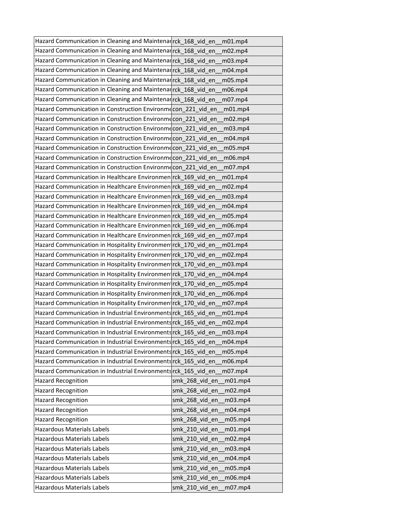| Hazard Communication in Cleaning and Maintenarrck 168 vid en   | $m01$ .mp4                |
|----------------------------------------------------------------|---------------------------|
| Hazard Communication in Cleaning and Maintenarrck 168 vid en   | m02.mp4                   |
| Hazard Communication in Cleaning and Maintenarrck 168 vid en   | m03.mp4                   |
| Hazard Communication in Cleaning and Maintenar rck 168 vid en  | m04.mp4                   |
| Hazard Communication in Cleaning and Maintenarrck 168 vid en   | m05.mp4                   |
| Hazard Communication in Cleaning and Maintenar rck 168 vid en  | m06.mp4                   |
| Hazard Communication in Cleaning and Maintenarrck_168_vid_en   | m07.mp4                   |
| Hazard Communication in Construction Environmecon 221 vid en   | $m01$ .mp4                |
| Hazard Communication in Construction Environmecon 221 vid en   | m02.mp4                   |
| Hazard Communication in Construction Environmecon_221_vid_en   | m03.mp4                   |
| Hazard Communication in Construction Environmecon_221 vid en   | m04.mp4                   |
| Hazard Communication in Construction Environmecon_221_vid_en   | m05.mp4                   |
| Hazard Communication in Construction Environmecon 221 vid en   | m06.mp4                   |
| Hazard Communication in Construction Environmecon_221_vid_en   | m07.mp4                   |
| Hazard Communication in Healthcare Environmen rck_169_vid_en   | m01.mp4                   |
| Hazard Communication in Healthcare Environmen rck 169 vid en   | m02.mp4                   |
| Hazard Communication in Healthcare Environmen rck 169 vid en   | m03.mp4                   |
| Hazard Communication in Healthcare Environmen rck 169 vid en   | m04.mp4                   |
| Hazard Communication in Healthcare Environmen rck_169_vid_en   | m05.mp4                   |
| Hazard Communication in Healthcare Environmen rck 169 vid en   | m06.mp4                   |
| Hazard Communication in Healthcare Environmen rck_169_vid_en   | m07.mp4                   |
| Hazard Communication in Hospitality Environmen rck_170_vid_en  | m01.mp4                   |
| Hazard Communication in Hospitality Environmentrck 170 vid en  | m02.mp4                   |
| Hazard Communication in Hospitality Environmentrck 170 vid en  | m03.mp4                   |
| Hazard Communication in Hospitality Environmentrck 170 vid en  | m04.mp4                   |
| Hazard Communication in Hospitality Environmentrck_170_vid_en  | m05.mp4                   |
| Hazard Communication in Hospitality Environmentrck_170_vid_en  | m06.mp4                   |
| Hazard Communication in Hospitality Environmentrck_170_vid_en  | m07.mp4                   |
| Hazard Communication in Industrial Environments rck_165_vid_en | m01.mp4                   |
| Hazard Communication in Industrial Environments rck_165_vid_en | m02.mp4                   |
| Hazard Communication in Industrial Environments rck_165 vid en | m03.mp4                   |
| Hazard Communication in Industrial Environments rck 165 vid en | m04.mp4                   |
| Hazard Communication in Industrial Environments rck_165_vid_en | m05.mp4                   |
| Hazard Communication in Industrial Environments rck_165_vid_en | m06.mp4                   |
| Hazard Communication in Industrial Environments rck 165 vid en | m07.mp4                   |
| <b>Hazard Recognition</b>                                      | smk 268 vid en<br>m01.mp4 |
| <b>Hazard Recognition</b>                                      | smk 268 vid en<br>m02.mp4 |
| <b>Hazard Recognition</b>                                      | smk_268_vid_en<br>m03.mp4 |
| <b>Hazard Recognition</b>                                      | smk_268_vid_en<br>m04.mp4 |
| <b>Hazard Recognition</b>                                      | smk 268 vid en<br>m05.mp4 |
| Hazardous Materials Labels                                     | smk_210_vid_en<br>m01.mp4 |
| Hazardous Materials Labels                                     | smk 210 vid en<br>m02.mp4 |
| Hazardous Materials Labels                                     | smk_210_vid_en<br>m03.mp4 |
| Hazardous Materials Labels                                     | smk_210_vid_en<br>m04.mp4 |
| Hazardous Materials Labels                                     | smk_210_vid_en<br>m05.mp4 |
| Hazardous Materials Labels                                     | smk_210_vid_en<br>m06.mp4 |
| Hazardous Materials Labels                                     | smk_210_vid_en<br>m07.mp4 |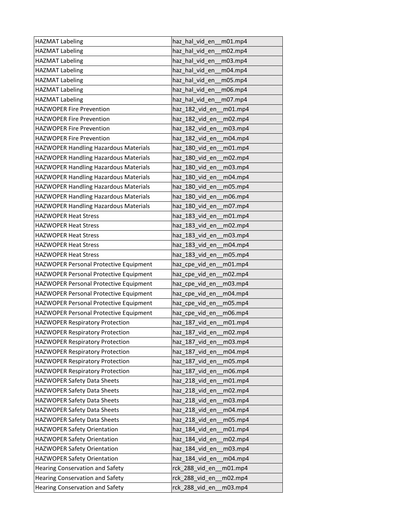| <b>HAZMAT Labeling</b>                        | haz hal vid en m01.mp4     |
|-----------------------------------------------|----------------------------|
| <b>HAZMAT Labeling</b>                        | haz_hal_vid_en_m02.mp4     |
| <b>HAZMAT Labeling</b>                        | haz_hal_vid_en_<br>m03.mp4 |
| <b>HAZMAT Labeling</b>                        | haz hal vid en<br>m04mp4   |
| <b>HAZMAT Labeling</b>                        | haz hal vid en<br>m05.mp4  |
| <b>HAZMAT Labeling</b>                        | haz hal_vid_en<br>m06.mp4  |
| <b>HAZMAT Labeling</b>                        | haz_hal_vid_en__m07.mp4    |
| <b>HAZWOPER Fire Prevention</b>               | haz_182_vid_en<br>m01.mp4  |
| <b>HAZWOPER Fire Prevention</b>               | haz 182 vid en<br>m02.mp4  |
| <b>HAZWOPER Fire Prevention</b>               | haz_182_vid_en<br>m03.mp4  |
| <b>HAZWOPER Fire Prevention</b>               | haz 182 vid en<br>m04.mp4  |
| HAZWOPER Handling Hazardous Materials         | haz 180 vid en<br>m01.mp4  |
| HAZWOPER Handling Hazardous Materials         | haz 180 vid en<br>m02.mp4  |
| HAZWOPER Handling Hazardous Materials         | haz_180_vid_en<br>m03.mp4  |
| HAZWOPER Handling Hazardous Materials         | haz_180_vid_en<br>m04.mp4  |
| HAZWOPER Handling Hazardous Materials         | haz 180 vid en<br>m05.mp4  |
| HAZWOPER Handling Hazardous Materials         | haz 180 vid en<br>m06.mp4  |
| HAZWOPER Handling Hazardous Materials         | haz_180_vid_en<br>m07.mp4  |
| <b>HAZWOPER Heat Stress</b>                   | haz_183_vid_en<br>m01.mp4  |
| <b>HAZWOPER Heat Stress</b>                   | haz 183 vid en<br>m02.mp4  |
| <b>HAZWOPER Heat Stress</b>                   | haz_183_vid_en<br>m03.mp4  |
| <b>HAZWOPER Heat Stress</b>                   | haz_183_vid_en<br>m04.mp4  |
| <b>HAZWOPER Heat Stress</b>                   | haz 183 vid en<br>m05.mp4  |
| <b>HAZWOPER Personal Protective Equipment</b> | haz cpe vid en<br>m01.mp4  |
| <b>HAZWOPER Personal Protective Equipment</b> | haz cpe vid en<br>m02.mp4  |
| HAZWOPER Personal Protective Equipment        | haz_cpe_vid_en<br>m03.mp4  |
| <b>HAZWOPER Personal Protective Equipment</b> | haz_cpe_vid_en<br>m04.mp4  |
| HAZWOPER Personal Protective Equipment        | haz cpe vid en<br>m05.mp4  |
| <b>HAZWOPER Personal Protective Equipment</b> | haz cpe vid en<br>m06.mp4  |
| <b>HAZWOPER Respiratory Protection</b>        | haz_187_vid_en<br>m01.mp4  |
| <b>HAZWOPER Respiratory Protection</b>        | haz 187 vid en<br>m02.mp4  |
| <b>HAZWOPER Respiratory Protection</b>        | haz_187_vid_en<br>m03.mp4  |
| <b>HAZWOPER Respiratory Protection</b>        | haz_187_vid_en<br>m04.mp4  |
| <b>HAZWOPER Respiratory Protection</b>        | haz_187_vid_en<br>m05.mp4  |
| <b>HAZWOPER Respiratory Protection</b>        | haz_187_vid_en<br>m06.mp4  |
| <b>HAZWOPER Safety Data Sheets</b>            | haz 218 vid en<br>m01.mp4  |
| <b>HAZWOPER Safety Data Sheets</b>            | haz 218 vid en<br>m02.mp4  |
| HAZWOPER Safety Data Sheets                   | haz 218 vid en<br>m03.mp4  |
| HAZWOPER Safety Data Sheets                   | haz_218_vid_en<br>m04.mp4  |
| HAZWOPER Safety Data Sheets                   | haz_218_vid_en<br>m05.mp4  |
| HAZWOPER Safety Orientation                   | haz 184 vid en<br>m01.mp4  |
| HAZWOPER Safety Orientation                   | haz_184_vid_en<br>m02.mp4  |
| HAZWOPER Safety Orientation                   | haz_184_vid_en<br>m03.mp4  |
| HAZWOPER Safety Orientation                   | haz 184 vid en<br>m04.mp4  |
| Hearing Conservation and Safety               | rck_288_vid_en<br>m01.mp4  |
| Hearing Conservation and Safety               | rck_288_vid_en<br>m02.mp4  |
| Hearing Conservation and Safety               | rck_288_vid_en<br>m03.mp4  |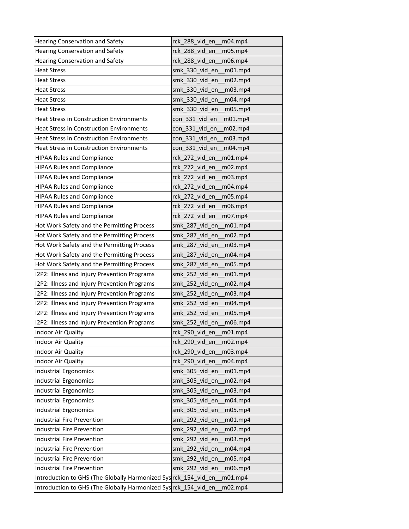| Hearing Conservation and Safety                                 | rck_288_vid_en_<br>m04.mp4 |
|-----------------------------------------------------------------|----------------------------|
| <b>Hearing Conservation and Safety</b>                          | rck 288 vid en<br>m05.mp4  |
| Hearing Conservation and Safety                                 | rck_288_vid_en<br>m06.mp4  |
| <b>Heat Stress</b>                                              | smk 330 vid en<br>m01.mp4  |
| <b>Heat Stress</b>                                              | smk 330 vid en<br>m02.mp4  |
| <b>Heat Stress</b>                                              | smk 330 vid en<br>m03.mp4  |
| <b>Heat Stress</b>                                              | smk_330_vid_en<br>m04.mp4  |
| <b>Heat Stress</b>                                              | smk 330 vid en<br>m05.mp4  |
| <b>Heat Stress in Construction Environments</b>                 | con 331 vid en<br>m01.mp4  |
| <b>Heat Stress in Construction Environments</b>                 | con_331_vid_en<br>m02.mp4  |
| <b>Heat Stress in Construction Environments</b>                 | con 331 vid en<br>m03.mp4  |
| <b>Heat Stress in Construction Environments</b>                 | con_331_vid_en<br>m04.mp4  |
| <b>HIPAA Rules and Compliance</b>                               | rck 272 vid en<br>m01.mp4  |
| <b>HIPAA Rules and Compliance</b>                               | m02.mp4<br>rck_272_vid_en  |
| <b>HIPAA Rules and Compliance</b>                               | rck_272_vid_en<br>m03.mp4  |
| <b>HIPAA Rules and Compliance</b>                               | rck 272 vid en<br>m04.mp4  |
| <b>HIPAA Rules and Compliance</b>                               | rck_272_vid_en<br>m05.mp4  |
| <b>HIPAA Rules and Compliance</b>                               | rck_272_vid_en<br>m06.mp4  |
| <b>HIPAA Rules and Compliance</b>                               | rck_272_vid_en_m07.mp4     |
| Hot Work Safety and the Permitting Process                      | smk 287 vid en<br>m01.mp4  |
| Hot Work Safety and the Permitting Process                      | smk 287 vid en<br>m02.mp4  |
| Hot Work Safety and the Permitting Process                      | smk_287_vid_en<br>m03.mp4  |
| Hot Work Safety and the Permitting Process                      | smk 287 vid en<br>m04.mp4  |
| Hot Work Safety and the Permitting Process                      | smk_287_vid_en<br>m05.mp4  |
| I2P2: Illness and Injury Prevention Programs                    | smk 252 vid en<br>m01.mp4  |
| I2P2: Illness and Injury Prevention Programs                    | smk_252_vid_en<br>m02.mp4  |
| I2P2: Illness and Injury Prevention Programs                    | smk_252_vid_en<br>m03.mp4  |
| I2P2: Illness and Injury Prevention Programs                    | smk_252_vid_en<br>m04.mp4  |
| I2P2: Illness and Injury Prevention Programs                    | smk 252 vid en<br>m05.mp4  |
| I2P2: Illness and Injury Prevention Programs                    | smk_252_vid_en<br>m06.mp4  |
| <b>Indoor Air Quality</b>                                       | rck 290 vid en<br>m01.mp4  |
| Indoor Air Quality                                              | rck 290 vid en<br>m02.mp4  |
| <b>Indoor Air Quality</b>                                       | rck 290 vid en<br>m03.mp4  |
| Indoor Air Quality                                              | rck 290 vid en<br>m04.mp4  |
| <b>Industrial Ergonomics</b>                                    | smk_305_vid_en<br>m01.mp4  |
| <b>Industrial Ergonomics</b>                                    | smk 305 vid en<br>m02.mp4  |
| <b>Industrial Ergonomics</b>                                    | smk 305 vid en<br>m03.mp4  |
| <b>Industrial Ergonomics</b>                                    | smk_305_vid_en<br>m04.mp4  |
| <b>Industrial Ergonomics</b>                                    | smk_305_vid_en<br>m05.mp4  |
| <b>Industrial Fire Prevention</b>                               | smk 292 vid en<br>m01.mp4  |
| <b>Industrial Fire Prevention</b>                               | smk 292 vid en<br>m02.mp4  |
| <b>Industrial Fire Prevention</b>                               | smk 292 vid en<br>m03.mp4  |
| <b>Industrial Fire Prevention</b>                               | smk_292_vid_en<br>m04.mp4  |
| <b>Industrial Fire Prevention</b>                               | smk_292_vid_en<br>m05.mp4  |
| <b>Industrial Fire Prevention</b>                               | m06.mp4<br>smk_292_vid_en  |
| Introduction to GHS (The Globally Harmonized Sys rck_154_vid_en | m01.mp4                    |
| Introduction to GHS (The Globally Harmonized Sys rck_154_vid_en | m02.mp4                    |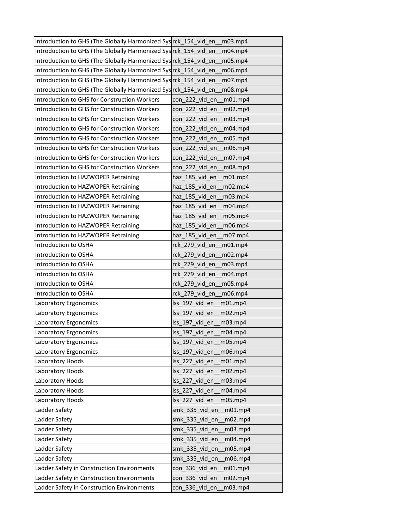| Introduction to GHS (The Globally Harmonized Sys rck_154_vid_en | m03.mp4                    |
|-----------------------------------------------------------------|----------------------------|
| Introduction to GHS (The Globally Harmonized Sys rck 154 vid en | m04.mp4                    |
| Introduction to GHS (The Globally Harmonized Sys rck_154_vid_en | m05.mp4                    |
| Introduction to GHS (The Globally Harmonized Sys rck_154_vid_en | m06.mp4                    |
| Introduction to GHS (The Globally Harmonized Sys rck_154_vid_en | m07.mp4                    |
| Introduction to GHS (The Globally Harmonized Sys rck 154 vid en | m08.mp4                    |
| Introduction to GHS for Construction Workers                    | con 222 vid en<br>m01.mp4  |
| Introduction to GHS for Construction Workers                    | con 222 vid en<br>m02.mp4  |
| Introduction to GHS for Construction Workers                    | con 222 vid en<br>m03.mp4  |
| Introduction to GHS for Construction Workers                    | con_222_vid_en<br>m04.mp4  |
| Introduction to GHS for Construction Workers                    | con 222 vid en<br>m05.mp4  |
| Introduction to GHS for Construction Workers                    | con 222 vid en<br>m06.mp4  |
| Introduction to GHS for Construction Workers                    | con 222 vid en<br>m07.mp4  |
| Introduction to GHS for Construction Workers                    | con_222_vid_en<br>m08.mp4  |
| Introduction to HAZWOPER Retraining                             | haz 185 vid en<br>m01.mp4  |
| Introduction to HAZWOPER Retraining                             | haz 185 vid en<br>m02.mp4  |
| Introduction to HAZWOPER Retraining                             | haz_185_vid_en<br>m03.mp4  |
| Introduction to HAZWOPER Retraining                             | haz_185_vid_en<br>m04.mp4  |
| Introduction to HAZWOPER Retraining                             | haz_185_vid_en<br>m05.mp4  |
| Introduction to HAZWOPER Retraining                             | haz 185 vid en<br>m06.mp4  |
| Introduction to HAZWOPER Retraining                             | haz 185 vid en<br>m07.mp4  |
| Introduction to OSHA                                            | rck_279_vid_en<br>m01.mp4  |
| Introduction to OSHA                                            | rck_279_vid_en<br>m02.mp4  |
| Introduction to OSHA                                            | rck 279 vid en<br>m03.mp4  |
| Introduction to OSHA                                            | rck 279 vid en<br>m04.mp4  |
| Introduction to OSHA                                            | rck_279_vid_en<br>m05.mp4  |
| Introduction to OSHA                                            | rck_279_vid_en<br>m06.mp4  |
| Laboratory Ergonomics                                           | Iss 197 vid en<br>m01mp4   |
| Laboratory Ergonomics                                           | Iss 197 vid en<br>m02.mp4  |
| Laboratory Ergonomics                                           | lss_197_vid_en_<br>m03.mp4 |
| Laboratory Ergonomics                                           | Iss 197 vid en<br>m04.mp4  |
| Laboratory Ergonomics                                           | lss_197_vid_en<br>m05.mp4  |
| Laboratory Ergonomics                                           | Iss 197 vid en<br>m06.mp4  |
| Laboratory Hoods                                                | lss_227_vid_en<br>m01.mp4  |
| Laboratory Hoods                                                | lss_227_vid_en<br>m02.mp4  |
| Laboratory Hoods                                                | lss_227_vid_en<br>m03.mp4  |
| Laboratory Hoods                                                | Iss 227 vid en<br>m04.mp4  |
| Laboratory Hoods                                                | Iss 227 vid en<br>m05.mp4  |
| Ladder Safety                                                   | smk_335_vid_en<br>m01.mp4  |
| Ladder Safety                                                   | smk_335_vid_en<br>m02.mp4  |
| Ladder Safety                                                   | smk_335_vid_en<br>m03.mp4  |
| Ladder Safety                                                   | smk_335_vid_en<br>m04.mp4  |
| Ladder Safety                                                   | smk_335_vid_en<br>m05.mp4  |
| Ladder Safety                                                   | smk_335_vid_en<br>m06.mp4  |
| Ladder Safety in Construction Environments                      | m01.mp4<br>con_336_vid_en  |
| Ladder Safety in Construction Environments                      | con_336_vid_en<br>m02.mp4  |
| Ladder Safety in Construction Environments                      | con_336_vid_en<br>m03.mp4  |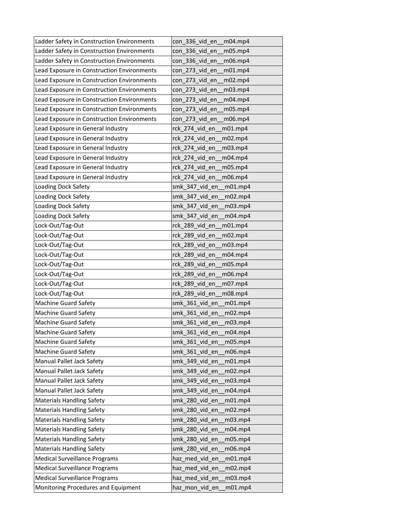| Ladder Safety in Construction Environments | con_336_vid_en<br>m04.mp4    |
|--------------------------------------------|------------------------------|
| Ladder Safety in Construction Environments | con 336 vid en<br>m05.mp4    |
| Ladder Safety in Construction Environments | con_336_vid_en<br>m06.mp4    |
| Lead Exposure in Construction Environments | con 273 vid en<br>m01.mp4    |
| Lead Exposure in Construction Environments | con 273 vid en<br>m02.mp4    |
| Lead Exposure in Construction Environments | con 273 vid en<br>m03.mp4    |
| Lead Exposure in Construction Environments | con_273_vid_en<br>m04.mp4    |
| Lead Exposure in Construction Environments | con_273_vid_en<br>m05.mp4    |
| Lead Exposure in Construction Environments | con 273 vid en<br>m06.mp4    |
| Lead Exposure in General Industry          | rck_274_vid_en<br>m01.mp4    |
| Lead Exposure in General Industry          | rck 274 vid en<br>m02.mp4    |
| Lead Exposure in General Industry          | rck 274 vid en<br>m03.mp4    |
| Lead Exposure in General Industry          | rck 274 vid en<br>m04.mp4    |
| Lead Exposure in General Industry          | rck_274_vid_en_<br>m05.mp4   |
| Lead Exposure in General Industry          | rck_274_vid_en<br>m06.mp4    |
| Loading Dock Safety                        | smk 347 vid en<br>m01.mp4    |
| <b>Loading Dock Safety</b>                 | smk 347 vid en<br>m02.mp4    |
| Loading Dock Safety                        | smk 347 vid en<br>m03.mp4    |
| Loading Dock Safety                        | smk 347 vid en<br>m04.mp4    |
| Lock-Out/Tag-Out                           | rck 289 vid en<br>$m01$ .mp4 |
| Lock-Out/Tag-Out                           | rck 289 vid en<br>m02.mp4    |
| Lock-Out/Tag-Out                           | rck_289_vid_en<br>m03.mp4    |
| Lock-Out/Tag-Out                           | rck 289 vid en<br>m04.mp4    |
| Lock-Out/Tag-Out                           | rck 289 vid en<br>m05.mp4    |
| Lock-Out/Tag-Out                           | rck 289 vid en<br>m06.mp4    |
| Lock-Out/Tag-Out                           | rck_289_vid_en_<br>m07.mp4   |
| Lock-Out/Tag-Out                           | rck_289_vid_en<br>m08.mp4    |
| <b>Machine Guard Safety</b>                | smk_361_vid_en<br>m01.mp4    |
| <b>Machine Guard Safety</b>                | smk 361 vid en<br>m02.mp4    |
| <b>Machine Guard Safety</b>                | smk_361_vid_en<br>m03.mp4    |
| <b>Machine Guard Safety</b>                | smk_361_vid_en<br>m04.mp4    |
| <b>Machine Guard Safety</b>                | smk 361 vid en<br>m05.mp4    |
| <b>Machine Guard Safety</b>                | smk_361_vid_en<br>m06.mp4    |
| Manual Pallet Jack Safety                  | smk_349_vid_en<br>m01.mp4    |
| Manual Pallet Jack Safety                  | smk_349_vid_en<br>m02.mp4    |
| Manual Pallet Jack Safety                  | smk 349 vid en<br>m03.mp4    |
| Manual Pallet Jack Safety                  | smk 349 vid en<br>m04.mp4    |
| <b>Materials Handling Safety</b>           | smk_280_vid_en<br>m01.mp4    |
| <b>Materials Handling Safety</b>           | smk 280 vid en<br>m02.mp4    |
| <b>Materials Handling Safety</b>           | smk_280_vid_en<br>m03.mp4    |
| <b>Materials Handling Safety</b>           | smk 280 vid en<br>m04.mp4    |
| <b>Materials Handling Safety</b>           | smk 280 vid en<br>m05.mp4    |
| <b>Materials Handling Safety</b>           | smk_280_vid_en<br>m06.mp4    |
| <b>Medical Surveillance Programs</b>       | haz_med_vid_en<br>m01.mp4    |
| <b>Medical Surveillance Programs</b>       | haz_med_vid_en<br>m02.mp4    |
| <b>Medical Surveillance Programs</b>       | haz_med_vid_en<br>m03.mp4    |
| Monitoring Procedures and Equipment        | haz_mon_vid_en<br>m01.mp4    |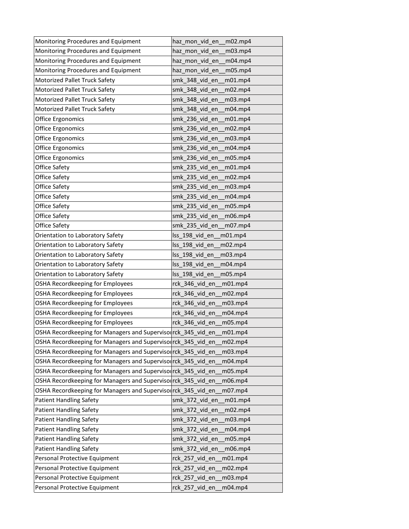| Monitoring Procedures and Equipment                           | haz_mon_vid_en__m02.mp4      |
|---------------------------------------------------------------|------------------------------|
| Monitoring Procedures and Equipment                           | haz_mon_vid_en<br>m03.mp4    |
| Monitoring Procedures and Equipment                           | haz_mon_vid_en<br>m04.mp4    |
| Monitoring Procedures and Equipment                           | haz mon vid en<br>m05.mp4    |
| Motorized Pallet Truck Safety                                 | smk 348 vid en<br>m01.mp4    |
| Motorized Pallet Truck Safety                                 | smk 348 vid en<br>m02.mp4    |
| Motorized Pallet Truck Safety                                 | smk_348_vid_en<br>m03.mp4    |
| Motorized Pallet Truck Safety                                 | smk_348_vid_en<br>m04.mp4    |
| Office Ergonomics                                             | smk 236 vid en<br>m01.mp4    |
| Office Ergonomics                                             | smk_236_vid_en<br>m02.mp4    |
| Office Ergonomics                                             | smk 236 vid en<br>m03.mp4    |
| Office Ergonomics                                             | smk_236_vid_en<br>m04.mp4    |
| Office Ergonomics                                             | smk_236_vid_en<br>m05.mp4    |
| Office Safety                                                 | smk_235_vid_en<br>m01.mp4    |
| Office Safety                                                 | smk 235 vid en<br>m02.mp4    |
| Office Safety                                                 | smk 235 vid en<br>m03.mp4    |
| Office Safety                                                 | smk 235 vid en<br>m04.mp4    |
| Office Safety                                                 | smk_235_vid_en<br>m05.mp4    |
| Office Safety                                                 | smk 235 vid en<br>m06.mp4    |
| Office Safety                                                 | smk 235 vid en<br>m07.mp4    |
| Orientation to Laboratory Safety                              | Iss 198 vid en<br>$m01$ .mp4 |
| Orientation to Laboratory Safety                              | lss_198_vid_en<br>m02.mp4    |
| Orientation to Laboratory Safety                              | lss 198_vid_en<br>m03.mp4    |
| Orientation to Laboratory Safety                              | Iss 198 vid en<br>m04.mp4    |
| Orientation to Laboratory Safety                              | Iss 198 vid en<br>m05.mp4    |
| OSHA Recordkeeping for Employees                              | rck_346_vid_en_m01.mp4       |
| OSHA Recordkeeping for Employees                              | rck_346_vid_en_<br>m02.mp4   |
| OSHA Recordkeeping for Employees                              | rck_346_vid_en_<br>m03.mp4   |
| OSHA Recordkeeping for Employees                              | rck 346 vid en<br>m04.mp4    |
| OSHA Recordkeeping for Employees                              | rck 346 vid en<br>m05.mp4    |
| OSHA Recordkeeping for Managers and Supervisorrck_345 vid en  | m01.mp4                      |
| OSHA Recordkeeping for Managers and Supervisol rck 345 vid en | m02.mp4                      |
| OSHA Recordkeeping for Managers and Superviso rck_345_vid_en  | m03.mp4                      |
| OSHA Recordkeeping for Managers and Supervisol rck_345_vid_en | m04.mp4                      |
| OSHA Recordkeeping for Managers and Supervisol rck_345_vid_en | m05.mp4                      |
| OSHA Recordkeeping for Managers and Supervisol rck_345_vid_en | m06.mp4                      |
| OSHA Recordkeeping for Managers and Supervisol rck_345_vid_en | m07.mp4                      |
| <b>Patient Handling Safety</b>                                | smk_372_vid_en<br>m01.mp4    |
| <b>Patient Handling Safety</b>                                | smk_372_vid_en<br>m02.mp4    |
| <b>Patient Handling Safety</b>                                | smk 372 vid en<br>m03.mp4    |
| <b>Patient Handling Safety</b>                                | smk_372_vid_en<br>m04.mp4    |
| <b>Patient Handling Safety</b>                                | smk_372_vid_en<br>m05.mp4    |
| <b>Patient Handling Safety</b>                                | smk_372_vid_en<br>m06.mp4    |
| Personal Protective Equipment                                 | rck_257_vid_en<br>m01.mp4    |
| Personal Protective Equipment                                 | rck_257_vid_en<br>m02.mp4    |
| Personal Protective Equipment                                 | rck_257_vid_en<br>m03.mp4    |
| Personal Protective Equipment                                 | rck_257_vid_en<br>m04.mp4    |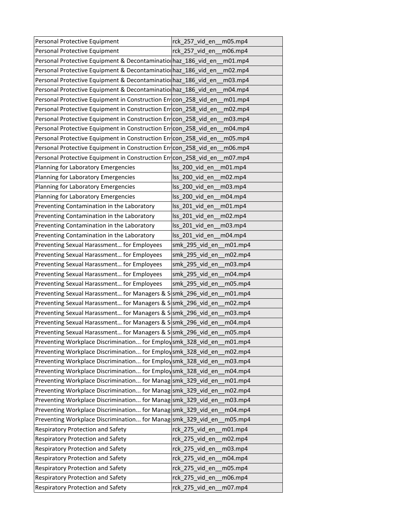| Personal Protective Equipment                                   | rck 257 vid en<br>m05.mp4                        |
|-----------------------------------------------------------------|--------------------------------------------------|
| Personal Protective Equipment                                   | rck 257 vid en<br>m06.mp4                        |
| Personal Protective Equipment & Decontamination haz_186_vid_en  | m01.mp4                                          |
| Personal Protective Equipment & Decontaminatio haz_186_vid_en   | m02.mp4                                          |
| Personal Protective Equipment & Decontaminatio haz_186_vid_en   | m03.mp4                                          |
| Personal Protective Equipment & Decontaminatio haz_186 vid en   | m04.mp4                                          |
| Personal Protective Equipment in Construction Entcon_258_vid_en | m01.mp4                                          |
| Personal Protective Equipment in Construction En con_258_vid_en | m02.mp4                                          |
| Personal Protective Equipment in Construction En con_258_vid_en | m03.mp4                                          |
| Personal Protective Equipment in Construction Entcon_258_vid_en | m04.mp4                                          |
| Personal Protective Equipment in Construction En con_258_vid_en | m05.mp4                                          |
| Personal Protective Equipment in Construction Entcon_258_vid_en | m06.mp4                                          |
| Personal Protective Equipment in Construction Entcon 258 vid en | m07.mp4                                          |
| Planning for Laboratory Emergencies                             | lss_200_vid_en<br>m01.mp4                        |
| Planning for Laboratory Emergencies                             | Iss 200 vid en<br>m02.mp4                        |
| Planning for Laboratory Emergencies                             | Iss 200 vid en<br>m03.mp4                        |
| Planning for Laboratory Emergencies                             | lss_200_vid_en<br>m04.mp4                        |
| Preventing Contamination in the Laboratory                      | $\textsf{lss}\_201\_vid\_en$<br>m01.mp4          |
| Preventing Contamination in the Laboratory                      | lss_201_vid_en<br>m02.mp4                        |
| Preventing Contamination in the Laboratory                      | Iss 201 vid en<br>m <sub>03.mp<sub>4</sub></sub> |
| Preventing Contamination in the Laboratory                      | lss_201_vid_en<br>m04.mp4                        |
| Preventing Sexual Harassment for Employees                      | smk_295_vid_en<br>m01.mp4                        |
| Preventing Sexual Harassment for Employees                      | smk_295_vid_en<br>m02.mp4                        |
| Preventing Sexual Harassment for Employees                      | smk 295 vid en<br>m <sub>03.mp<sub>4</sub></sub> |
| Preventing Sexual Harassment for Employees                      | smk 295 vid en<br>m04.mp4                        |
| Preventing Sexual Harassment for Employees                      | smk_295_vid_en<br>m05.mp4                        |
| Preventing Sexual Harassment for Managers & S smk_296_vid_en    | m01.mp4                                          |
| Preventing Sexual Harassment for Managers & S smk_296_vid_en    | m02.mp4                                          |
| Preventing Sexual Harassment for Managers & S smk_296_vid_en    | m03.mp4                                          |
| Preventing Sexual Harassment for Managers & S smk 296 vid en    | $m04$ .mp4                                       |
| Preventing Sexual Harassment for Managers & S smk_296_vid_en    | m05.mp4                                          |
| Preventing Workplace Discrimination for Employsmk_328_vid_en    | m01.mp4                                          |
| Preventing Workplace Discrimination for Employ smk_328_vid_en   | m02.mp4                                          |
| Preventing Workplace Discrimination for Employsmk_328_vid_en    | m03.mp4                                          |
| Preventing Workplace Discrimination for Employsmk_328_vid_en    | m04.mp4                                          |
| Preventing Workplace Discrimination for Manag smk_329_vid_en    | m01.mp4                                          |
| Preventing Workplace Discrimination for Manag smk_329_vid_en    | m02.mp4                                          |
| Preventing Workplace Discrimination for Manag smk_329_vid_en    | m03.mp4                                          |
| Preventing Workplace Discrimination for Manag smk 329 vid en    | m04.mp4                                          |
| Preventing Workplace Discrimination for Manag smk_329_vid_en    | m05.mp4                                          |
| Respiratory Protection and Safety                               | rck_275_vid_en<br>m01.mp4                        |
| Respiratory Protection and Safety                               | rck_275_vid_en<br>m02.mp4                        |
| Respiratory Protection and Safety                               | rck_275_vid_en<br>m03.mp4                        |
| Respiratory Protection and Safety                               | rck_275_vid_en<br>m04.mp4                        |
| Respiratory Protection and Safety                               | rck_275_vid_en<br>m05.mp4                        |
| Respiratory Protection and Safety                               | rck_275_vid_en<br>m06.mp4                        |
| Respiratory Protection and Safety                               | rck_275_vid_en<br>m07.mp4                        |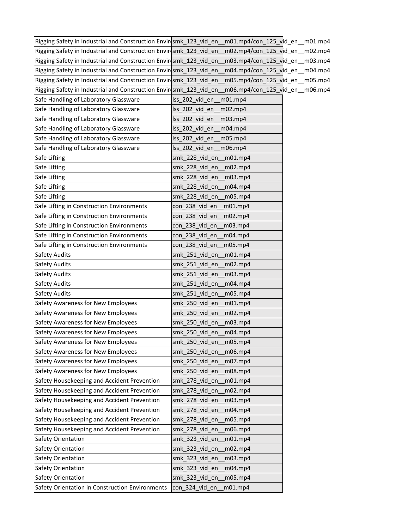| Rigging Safety in Industrial and Construction Enviresmk 123 vid en | m01.mp4/con 125 vid en m01.mp4                   |  |
|--------------------------------------------------------------------|--------------------------------------------------|--|
| Rigging Safety in Industrial and Construction Envir smk_123_vid_en | m02.mp4/con_125_vid_en__m02.mp4                  |  |
| Rigging Safety in Industrial and Construction Envir smk_123_vid_en | m03.mp4/con_125_vid_en__m03.mp4                  |  |
| Rigging Safety in Industrial and Construction Envir smk_123_vid_en | m04.mp4/con_125_vid_en_m04.mp4                   |  |
| Rigging Safety in Industrial and Construction Envir smk_123_vid_en | m05.mp4/con_125_vid_en__m05.mp4                  |  |
| Rigging Safety in Industrial and Construction Envir smk_123_vid_en | m06.mp4/con_125_vid_en__m06.mp4                  |  |
| Safe Handling of Laboratory Glassware                              | lss_202_vid_en<br>$m01$ .mp4                     |  |
| Safe Handling of Laboratory Glassware                              | Iss 202 vid en<br>m02.mp4                        |  |
| Safe Handling of Laboratory Glassware                              | Iss 202 vid en<br>m03.mp4                        |  |
| Safe Handling of Laboratory Glassware                              | Iss 202 vid en<br>m04.mp4                        |  |
| Safe Handling of Laboratory Glassware                              | lss_202_vid_en<br>m05.mp4                        |  |
| Safe Handling of Laboratory Glassware                              | lss_202_vid_en_m06.mp4                           |  |
| Safe Lifting                                                       | smk 228 vid en m01.mp4                           |  |
| Safe Lifting                                                       | smk_228_vid_en_m02.mp4                           |  |
| Safe Lifting                                                       | smk 228 vid en<br>m03.mp4                        |  |
| Safe Lifting                                                       | smk 228 vid en<br>m04.mp4                        |  |
| Safe Lifting                                                       | smk_228_vid_en<br>m05.mp4                        |  |
| Safe Lifting in Construction Environments                          | con_238_vid_en<br>m01.mp4                        |  |
| Safe Lifting in Construction Environments                          | con_238_vid_en_m02.mp4                           |  |
| Safe Lifting in Construction Environments                          | con 238 vid en<br>m <sub>03.mp<sub>4</sub></sub> |  |
| Safe Lifting in Construction Environments                          | m04.mp4<br>con 238 vid en                        |  |
| Safe Lifting in Construction Environments                          | con_238_vid_en_<br>m05.mp4                       |  |
| Safety Audits                                                      | smk_251_vid_en<br>m01.mp4                        |  |
| Safety Audits                                                      | smk_251_vid_en<br>m02.mp4                        |  |
| Safety Audits                                                      | smk 251 vid en<br>m03.mp4                        |  |
| Safety Audits                                                      | smk_251_vid_en<br>m04.mp4_                       |  |
| Safety Audits                                                      | smk_251_vid_en<br>m05.mp4                        |  |
| Safety Awareness for New Employees                                 | smk 250 vid en<br>m01.mp4                        |  |
| Safety Awareness for New Employees                                 | smk_250_vid_en<br>m02.mp4                        |  |
| Safety Awareness for New Employees                                 | smk 250 vid en<br>m03.mp4                        |  |
| Safety Awareness for New Employees                                 | smk 250 vid en m04.mp4                           |  |
| Safety Awareness for New Employees                                 | smk 250 vid en<br>m05.mp4                        |  |
| Safety Awareness for New Employees                                 | m06.mp4<br>smk_250_vid_en                        |  |
| Safety Awareness for New Employees                                 | smk 250 vid en<br>m07.mp4                        |  |
| Safety Awareness for New Employees                                 | smk 250 vid en<br>m08.mp4                        |  |
| Safety Housekeeping and Accident Prevention                        | smk 278 vid en<br>m01.mp4                        |  |
| Safety Housekeeping and Accident Prevention                        | smk_278_vid_en<br>m02.mp4                        |  |
| Safety Housekeeping and Accident Prevention                        | m03.mp4<br>smk_278_vid_en                        |  |
| Safety Housekeeping and Accident Prevention                        | smk_278_vid_en<br>m04.mp4                        |  |
| Safety Housekeeping and Accident Prevention                        | smk_278_vid_en<br>m05.mp4                        |  |
| Safety Housekeeping and Accident Prevention                        | smk_278_vid_en<br>m06.mp4                        |  |
| Safety Orientation                                                 | smk_323_vid_en<br>m01.mp4                        |  |
| Safety Orientation                                                 | smk_323_vid_en<br>m02.mp4                        |  |
| Safety Orientation                                                 | smk_323_vid_en<br>m03.mp4                        |  |
| Safety Orientation                                                 | smk_323_vid_en<br>m04.mp4                        |  |
| Safety Orientation                                                 | smk_323_vid_en<br>m05.mp4                        |  |
| Safety Orientation in Construction Environments                    | con_324_vid_en<br>m01.mp4                        |  |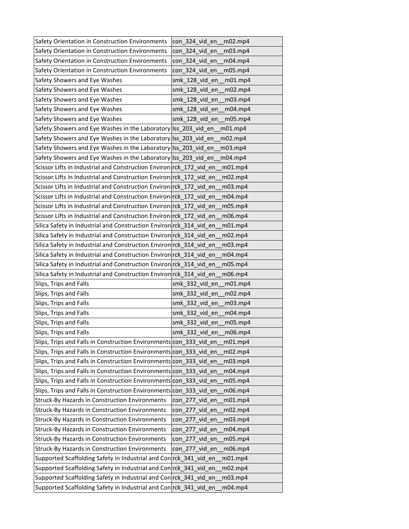| Safety Orientation in Construction Environments                     | con 324 vid en<br>m02.mp4      |
|---------------------------------------------------------------------|--------------------------------|
| Safety Orientation in Construction Environments                     | con 324 vid en<br>m03.mp4      |
| Safety Orientation in Construction Environments                     | con_324_vid_en<br>m04.mp4      |
| Safety Orientation in Construction Environments                     | con 324 vid en<br>m05.mp4      |
| Safety Showers and Eye Washes                                       | smk 128 vid en<br>$m01$ .mp4   |
| Safety Showers and Eye Washes                                       | smk 128 vid en<br>m02.mp4      |
| Safety Showers and Eye Washes                                       | smk_128_vid_en<br>m03.mp4      |
| Safety Showers and Eye Washes                                       | smk_128_vid_en<br>m04.mp4      |
| Safety Showers and Eye Washes                                       | smk_128_vid_en<br>m05.mp4      |
| Safety Showers and Eye Washes in the Laboratory Iss_203_vid_en      | m01.mp4                        |
| Safety Showers and Eye Washes in the Laboratory Iss_203_vid_en      | m02.mp4                        |
| Safety Showers and Eye Washes in the Laboratory Iss_203_vid_en      | m <sub>03.mp<sub>4</sub></sub> |
| Safety Showers and Eye Washes in the Laboratory Iss 203 vid en      | m04.mp4                        |
| Scissor Lifts in Industrial and Construction Environ rck_172_vid_en | _m01.mp4                       |
| Scissor Lifts in Industrial and Construction Environ rck 172 vid en | m02.mp4                        |
| Scissor Lifts in Industrial and Construction Environ rck 172 vid en | m03.mp4                        |
| Scissor Lifts in Industrial and Construction Environ rck_172_vid_en | m04.mp4                        |
| Scissor Lifts in Industrial and Construction Environ rck 172 vid en | m05.mp4                        |
| Scissor Lifts in Industrial and Construction Environ rck_172_vid_en | m06.mp4                        |
| Silica Safety in Industrial and Construction Environ rck 314 vid en | m01.mp4                        |
| Silica Safety in Industrial and Construction Environ rck_314_vid_en | m02.mp4                        |
| Silica Safety in Industrial and Construction Environ rck_314_vid_en | m03.mp4                        |
| Silica Safety in Industrial and Construction Environ rck_314_vid_en | m04.mp4                        |
| Silica Safety in Industrial and Construction Environ rck_314_vid_en | m05.mp4                        |
| Silica Safety in Industrial and Construction Environ rck_314_vid_en | m06.mp4                        |
| Slips, Trips and Falls                                              | smk_332_vid_en<br>m01.mp4      |
| Slips, Trips and Falls                                              | smk_332_vid_en<br>m02.mp4      |
| Slips, Trips and Falls                                              | smk 332 vid en<br>m03.mp4      |
| Slips, Trips and Falls                                              | smk 332 vid en<br>m04.mp4      |
| Slips, Trips and Falls                                              | smk 332 vid en<br>m05.mp4      |
| Slips, Trips and Falls                                              | smk 332 vid en<br>m06.mp4      |
| Slips, Trips and Falls in Construction Environments con 333 vid en  | m01.mp4                        |
| Slips, Trips and Falls in Construction Environments con_333_vid_en  | m02.mp4                        |
| Slips, Trips and Falls in Construction Environments con_333_vid_en  | m03.mp4                        |
| Slips, Trips and Falls in Construction Environments con_333_vid_en  | m04.mp4                        |
| Slips, Trips and Falls in Construction Environments con_333 vid en  | m05.mp4                        |
| Slips, Trips and Falls in Construction Environments con_333_vid_en  | m06.mp4                        |
| <b>Struck-By Hazards in Construction Environments</b>               | con 277 vid en<br>m01.mp4      |
| <b>Struck-By Hazards in Construction Environments</b>               | con 277 vid en<br>m02.mp4      |
| <b>Struck-By Hazards in Construction Environments</b>               | con_277_vid_en<br>m03.mp4      |
| Struck-By Hazards in Construction Environments                      | con_277_vid_en<br>m04.mp4      |
| Struck-By Hazards in Construction Environments                      | con 277 vid en<br>m05.mp4      |
| <b>Struck-By Hazards in Construction Environments</b>               | con_277_vid_en<br>m06.mp4      |
| Supported Scaffolding Safety in Industrial and Con rck_341_vid_en   | m01.mp4                        |
| Supported Scaffolding Safety in Industrial and Con rck_341_vid_en   | m02.mp4                        |
| Supported Scaffolding Safety in Industrial and Con rck_341_vid_en   | m03.mp4                        |
| Supported Scaffolding Safety in Industrial and Con rck_341_vid_en   | m04.mp4                        |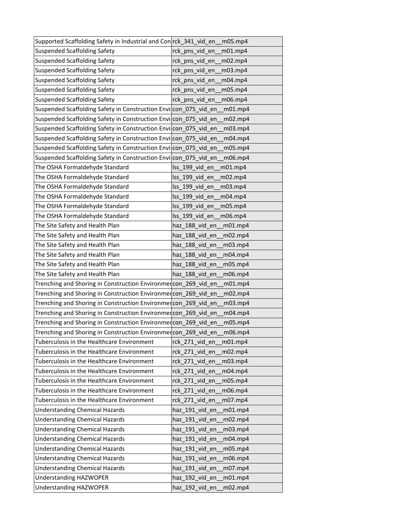| Supported Scaffolding Safety in Industrial and Con rck_341 vid en m05.mp4 |                            |
|---------------------------------------------------------------------------|----------------------------|
| <b>Suspended Scaffolding Safety</b>                                       | rck_pns_vid_en<br>m01mp4   |
| <b>Suspended Scaffolding Safety</b>                                       | rck_pns_vid_en<br>m02.mp4  |
| <b>Suspended Scaffolding Safety</b>                                       | rck_pns_vid_en<br>m03.mp4  |
| <b>Suspended Scaffolding Safety</b>                                       | rck_pns_vid_en<br>m04.mp4  |
| <b>Suspended Scaffolding Safety</b>                                       | rck pns vid en<br>m05.mp4  |
| <b>Suspended Scaffolding Safety</b>                                       | rck_pns_vid_en_<br>m06.mp4 |
| Suspended Scaffolding Safety in Construction Envilcon_075_vid_en          | m01.mp4                    |
| Suspended Scaffolding Safety in Construction Envilcon 075 vid en          | m02.mp4                    |
| Suspended Scaffolding Safety in Construction Envicon_075_vid_en           | m03.mp4                    |
| Suspended Scaffolding Safety in Construction Envilcon_075_vid_en          | m04.mp4                    |
| Suspended Scaffolding Safety in Construction Envilcon_075_vid_en          | m05.mp4                    |
| Suspended Scaffolding Safety in Construction Envilcon 075 vid en          | m06.mp4                    |
| The OSHA Formaldehyde Standard                                            | lss_199_vid_en<br>m01.mp4  |
| The OSHA Formaldehyde Standard                                            | Iss 199 vid en<br>m02.mp4  |
| The OSHA Formaldehyde Standard                                            | Iss 199 vid en<br>m03.mp4  |
| The OSHA Formaldehyde Standard                                            | Iss 199 vid en<br>m04.mp4  |
| The OSHA Formaldehyde Standard                                            | lss_199_vid_en<br>m05.mp4  |
| The OSHA Formaldehyde Standard                                            | lss_199_vid_en_<br>m06.mp4 |
| The Site Safety and Health Plan                                           | haz 188 vid en m01.mp4     |
| The Site Safety and Health Plan                                           | haz 188_vid_en<br>m02.mp4  |
| The Site Safety and Health Plan                                           | haz_188_vid_en<br>m03.mp4  |
| The Site Safety and Health Plan                                           | haz 188 vid en<br>m04.mp4  |
| The Site Safety and Health Plan                                           | haz 188 vid en<br>m05.mp4  |
| The Site Safety and Health Plan                                           | haz 188 vid en<br>m06.mp4  |
| Trenching and Shoring in Construction Environmercon_269_vid_en            | m01.mp4                    |
| Trenching and Shoring in Construction Environmercon_269_vid_en            | m02.mp4                    |
| Trenching and Shoring in Construction Environmercon_269_vid_en            | m03.mp4                    |
| Trenching and Shoring in Construction Environmercon_269_vid_en            | m04.mp4                    |
| Trenching and Shoring in Construction Environmercon 269 vid en            | m05.mp4                    |
| Trenching and Shoring in Construction Environmercon_269_vid_en            | m06.mp4                    |
| Tuberculosis in the Healthcare Environment                                | rck 271 vid en<br>m01.mp4  |
| Tuberculosis in the Healthcare Environment                                | rck 271 vid en<br>m02.mp4  |
| Tuberculosis in the Healthcare Environment                                | rck_271_vid_en<br>m03.mp4  |
| Tuberculosis in the Healthcare Environment                                | m04.mp4<br>rck_271_vid_en  |
| Tuberculosis in the Healthcare Environment                                | rck 271 vid en<br>m05.mp4  |
| Tuberculosis in the Healthcare Environment                                | rck_271_vid_en<br>m06.mp4  |
| Tuberculosis in the Healthcare Environment                                | rck_271_vid_en<br>m07.mp4  |
| <b>Understanding Chemical Hazards</b>                                     | haz_191_vid_en<br>m01.mp4  |
| <b>Understanding Chemical Hazards</b>                                     | haz_191_vid_en<br>m02.mp4  |
| <b>Understanding Chemical Hazards</b>                                     | haz_191_vid_en<br>m03.mp4  |
| <b>Understanding Chemical Hazards</b>                                     | haz_191_vid_en<br>m04.mp4  |
| <b>Understanding Chemical Hazards</b>                                     | haz_191_vid_en<br>m05.mp4  |
| <b>Understanding Chemical Hazards</b>                                     | haz_191_vid_en<br>m06.mp4  |
| <b>Understanding Chemical Hazards</b>                                     | haz_191_vid_en<br>m07.mp4  |
| <b>Understanding HAZWOPER</b>                                             | haz_192_vid_en<br>m01.mp4  |
| <b>Understanding HAZWOPER</b>                                             | haz_192_vid_en<br>m02.mp4  |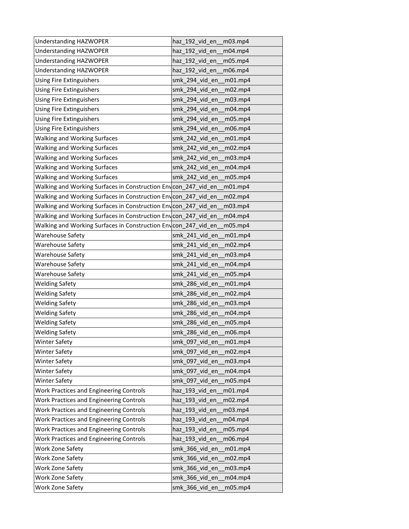| <b>Understanding HAZWOPER</b>                                   | haz_192_vid_en<br>m03.mp4 |
|-----------------------------------------------------------------|---------------------------|
| <b>Understanding HAZWOPER</b>                                   | haz 192 vid en<br>m04.mp4 |
| <b>Understanding HAZWOPER</b>                                   | haz_192_vid_en<br>m05.mp4 |
| <b>Understanding HAZWOPER</b>                                   | haz 192 vid en<br>m06.mp4 |
| Using Fire Extinguishers                                        | smk 294 vid en<br>m01.mp4 |
| Using Fire Extinguishers                                        | smk 294 vid en<br>m02.mp4 |
| Using Fire Extinguishers                                        | smk_294_vid_en<br>m03.mp4 |
| Using Fire Extinguishers                                        | smk_294_vid_en<br>m04.mp4 |
| Using Fire Extinguishers                                        | smk 294 vid en<br>m05.mp4 |
| Using Fire Extinguishers                                        | smk_294_vid_en<br>m06.mp4 |
| <b>Walking and Working Surfaces</b>                             | smk 242 vid en<br>m01.mp4 |
| <b>Walking and Working Surfaces</b>                             | smk_242_vid_en<br>m02.mp4 |
| <b>Walking and Working Surfaces</b>                             | smk 242 vid en<br>m03.mp4 |
| Walking and Working Surfaces                                    | smk_242_vid_en<br>m04.mp4 |
| <b>Walking and Working Surfaces</b>                             | smk 242 vid en<br>m05.mp4 |
| Walking and Working Surfaces in Construction Env con 247 vid en | m01.mp4                   |
| Walking and Working Surfaces in Construction Envcon_247_vid_en  | m02.mp4                   |
| Walking and Working Surfaces in Construction Env con_247_vid_en | m03.mp4                   |
| Walking and Working Surfaces in Construction Envcon_247_vid_en  | m04.mp4                   |
| Walking and Working Surfaces in Construction Envicon 247 vid en | m05.mp4                   |
| <b>Warehouse Safety</b>                                         | smk 241 vid en<br>m01.mp4 |
| <b>Warehouse Safety</b>                                         | smk_241_vid_en<br>m02.mp4 |
| <b>Warehouse Safety</b>                                         | smk 241 vid en<br>m03.mp4 |
| <b>Warehouse Safety</b>                                         | smk 241 vid en<br>m04.mp4 |
| Warehouse Safety                                                | smk 241 vid en<br>m05.mp4 |
| <b>Welding Safety</b>                                           | smk_286_vid_en<br>m01.mp4 |
| <b>Welding Safety</b>                                           | smk_286_vid_en<br>m02.mp4 |
| <b>Welding Safety</b>                                           | smk_286_vid_en<br>m03.mp4 |
| <b>Welding Safety</b>                                           | smk 286 vid en<br>m04.mp4 |
| <b>Welding Safety</b>                                           | smk 286 vid en<br>m05.mp4 |
| <b>Welding Safety</b>                                           | smk 286 vid en<br>m06.mp4 |
| <b>Winter Safety</b>                                            | smk_097_vid_en<br>m01.mp4 |
| <b>Winter Safety</b>                                            | smk 097 vid en<br>m02.mp4 |
| <b>Winter Safety</b>                                            | smk_097_vid_en<br>m03.mp4 |
| <b>Winter Safety</b>                                            | smk_097_vid_en<br>m04.mp4 |
| <b>Winter Safety</b>                                            | smk 097 vid en<br>m05.mp4 |
| Work Practices and Engineering Controls                         | haz_193_vid_en<br>m01.mp4 |
| Work Practices and Engineering Controls                         | haz_193_vid_en<br>m02.mp4 |
| Work Practices and Engineering Controls                         | haz 193 vid en<br>m03.mp4 |
| Work Practices and Engineering Controls                         | haz_193_vid_en<br>m04.mp4 |
| Work Practices and Engineering Controls                         | haz_193_vid_en<br>m05.mp4 |
| Work Practices and Engineering Controls                         | haz 193 vid en<br>m06.mp4 |
| Work Zone Safety                                                | smk_366_vid_en<br>m01.mp4 |
| Work Zone Safety                                                | smk_366_vid_en<br>m02.mp4 |
| Work Zone Safety                                                | smk_366_vid_en<br>m03.mp4 |
| Work Zone Safety                                                | smk_366_vid_en<br>m04.mp4 |
| Work Zone Safety                                                | smk_366_vid_en<br>m05.mp4 |